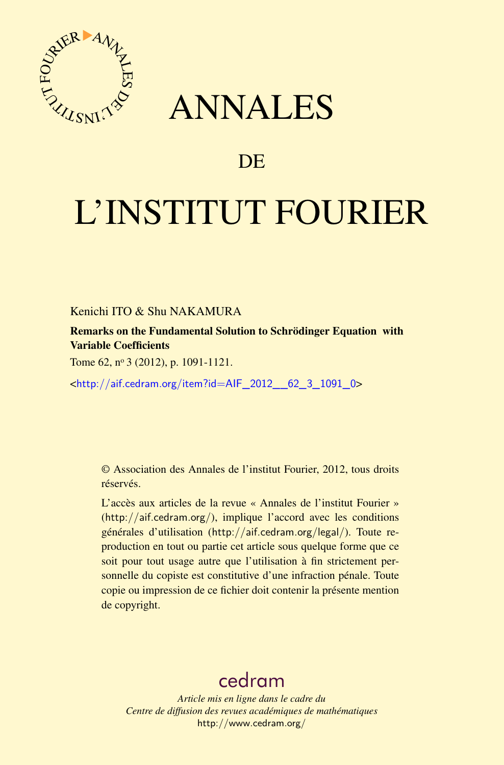

## ANNALES

## **DE**

# L'INSTITUT FOURIER

Kenichi ITO & Shu NAKAMURA

Remarks on the Fundamental Solution to Schrödinger Equation with Variable Coefficients

Tome 62, nº 3 (2012), p. 1091-1121.

<[http://aif.cedram.org/item?id=AIF\\_2012\\_\\_62\\_3\\_1091\\_0](http://aif.cedram.org/item?id=AIF_2012__62_3_1091_0)>

© Association des Annales de l'institut Fourier, 2012, tous droits réservés.

L'accès aux articles de la revue « Annales de l'institut Fourier » (<http://aif.cedram.org/>), implique l'accord avec les conditions générales d'utilisation (<http://aif.cedram.org/legal/>). Toute reproduction en tout ou partie cet article sous quelque forme que ce soit pour tout usage autre que l'utilisation à fin strictement personnelle du copiste est constitutive d'une infraction pénale. Toute copie ou impression de ce fichier doit contenir la présente mention de copyright.

## [cedram](http://www.cedram.org/)

*Article mis en ligne dans le cadre du Centre de diffusion des revues académiques de mathématiques* <http://www.cedram.org/>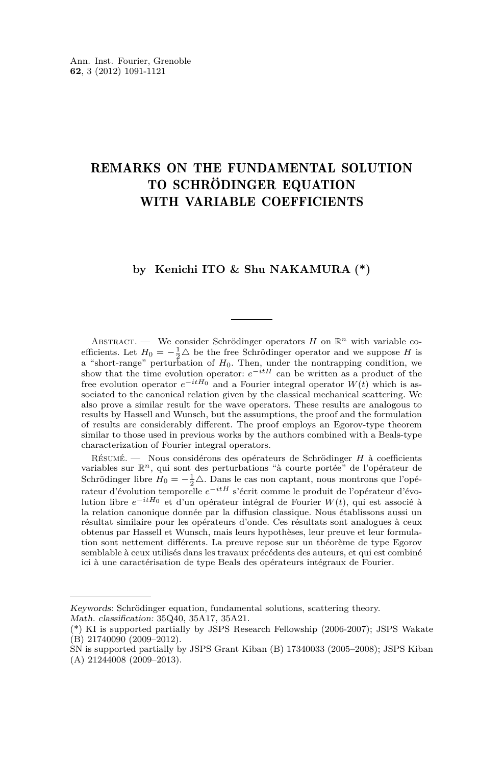### REMARKS ON THE FUNDAMENTAL SOLUTION TO SCHRÖDINGER EQUATION WITH VARIABLE COEFFICIENTS

#### **by Kenichi ITO & Shu NAKAMURA (\*)**

ABSTRACT. — We consider Schrödinger operators *H* on  $\mathbb{R}^n$  with variable coefficients. Let  $H_0 = -\frac{1}{2}\Delta$  be the free Schrödinger operator and we suppose *H* is a "short-range" perturbation of *H*0. Then, under the nontrapping condition, we show that the time evolution operator: *e*−*itH* can be written as a product of the free evolution operator  $e^{-itH_0}$  and a Fourier integral operator  $W(t)$  which is associated to the canonical relation given by the classical mechanical scattering. We also prove a similar result for the wave operators. These results are analogous to results by Hassell and Wunsch, but the assumptions, the proof and the formulation of results are considerably different. The proof employs an Egorov-type theorem similar to those used in previous works by the authors combined with a Beals-type characterization of Fourier integral operators.

Résumé. — Nous considérons des opérateurs de Schrödinger *H* à coefficients variables sur R*n*, qui sont des perturbations "à courte portée" de l'opérateur de Schrödinger libre  $H_0 = -\frac{1}{2}\Delta$ . Dans le cas non captant, nous montrons que l'opérateur d'évolution temporelle *e*−*itH* s'écrit comme le produit de l'opérateur d'évolution libre *e*−*itH*<sup>0</sup> et d'un opérateur intégral de Fourier *W*(*t*), qui est associé à la relation canonique donnée par la diffusion classique. Nous établissons aussi un résultat similaire pour les opérateurs d'onde. Ces résultats sont analogues à ceux obtenus par Hassell et Wunsch, mais leurs hypothèses, leur preuve et leur formulation sont nettement différents. La preuve repose sur un théorème de type Egorov semblable à ceux utilisés dans les travaux précédents des auteurs, et qui est combiné ici à une caractérisation de type Beals des opérateurs intégraux de Fourier.

Keywords: Schrödinger equation, fundamental solutions, scattering theory. Math. classification: 35Q40, 35A17, 35A21.

<sup>(\*)</sup> KI is supported partially by JSPS Research Fellowship (2006-2007); JSPS Wakate (B) 21740090 (2009–2012).

SN is supported partially by JSPS Grant Kiban (B) 17340033 (2005–2008); JSPS Kiban (A) 21244008 (2009–2013).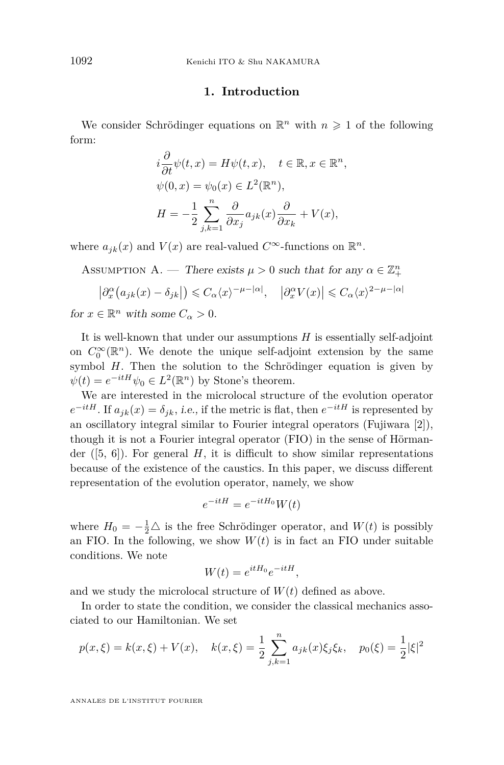#### **1. Introduction**

<span id="page-2-0"></span>We consider Schrödinger equations on  $\mathbb{R}^n$  with  $n \geq 1$  of the following form:

$$
i\frac{\partial}{\partial t}\psi(t,x) = H\psi(t,x), \quad t \in \mathbb{R}, x \in \mathbb{R}^n,
$$
  

$$
\psi(0,x) = \psi_0(x) \in L^2(\mathbb{R}^n),
$$
  

$$
H = -\frac{1}{2} \sum_{j,k=1}^n \frac{\partial}{\partial x_j} a_{jk}(x) \frac{\partial}{\partial x_k} + V(x),
$$

where  $a_{jk}(x)$  and  $V(x)$  are real-valued  $C^{\infty}$ -functions on  $\mathbb{R}^n$ .

ASSUMPTION A. — There exists  $\mu > 0$  such that for any  $\alpha \in \mathbb{Z}_{+}^{n}$ 

$$
\left|\partial_x^{\alpha}\left(a_{jk}(x)-\delta_{jk}\right|\right) \leq C_{\alpha}\langle x\rangle^{-\mu-|\alpha|}, \quad \left|\partial_x^{\alpha}V(x)\right| \leq C_{\alpha}\langle x\rangle^{2-\mu-|\alpha|}
$$

for  $x \in \mathbb{R}^n$  with some  $C_\alpha > 0$ .

It is well-known that under our assumptions *H* is essentially self-adjoint on  $C_0^{\infty}(\mathbb{R}^n)$ . We denote the unique self-adjoint extension by the same symbol *H*. Then the solution to the Schrödinger equation is given by  $\psi(t) = e^{-itH}\psi_0 \in L^2(\mathbb{R}^n)$  by Stone's theorem.

We are interested in the microlocal structure of the evolution operator  $e^{-itH}$ . If  $a_{jk}(x) = \delta_{jk}$ , *i.e.*, if the metric is flat, then  $e^{-itH}$  is represented by an oscillatory integral similar to Fourier integral operators (Fujiwara [\[2\]](#page-30-0)), though it is not a Fourier integral operator (FIO) in the sense of Hörmander  $([5, 6])$  $([5, 6])$  $([5, 6])$  $([5, 6])$  $([5, 6])$ . For general *H*, it is difficult to show similar representations because of the existence of the caustics. In this paper, we discuss different representation of the evolution operator, namely, we show

$$
e^{-itH} = e^{-itH_0}W(t)
$$

where  $H_0 = -\frac{1}{2}\Delta$  is the free Schrödinger operator, and  $W(t)$  is possibly an FIO. In the following, we show  $W(t)$  is in fact an FIO under suitable conditions. We note

$$
W(t) = e^{itH_0}e^{-itH},
$$

and we study the microlocal structure of  $W(t)$  defined as above.

In order to state the condition, we consider the classical mechanics associated to our Hamiltonian. We set

$$
p(x,\xi) = k(x,\xi) + V(x), \quad k(x,\xi) = \frac{1}{2} \sum_{j,k=1}^{n} a_{jk}(x)\xi_j \xi_k, \quad p_0(\xi) = \frac{1}{2}|\xi|^2
$$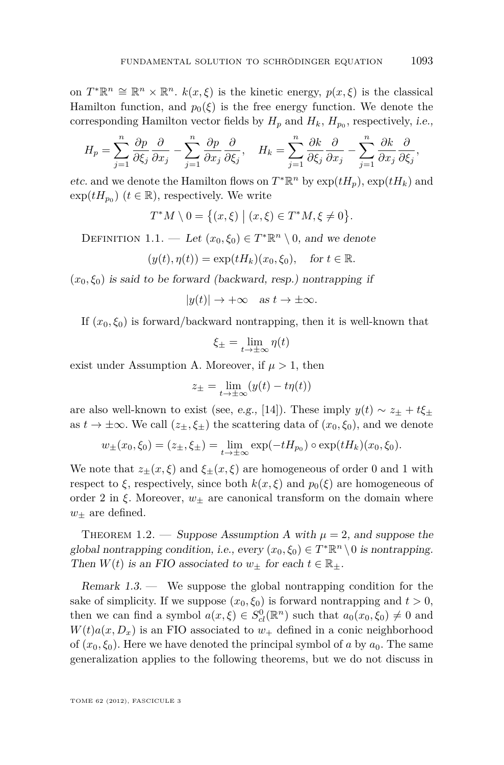<span id="page-3-0"></span>on  $T^*\mathbb{R}^n \cong \mathbb{R}^n \times \mathbb{R}^n$ .  $k(x,\xi)$  is the kinetic energy,  $p(x,\xi)$  is the classical Hamilton function, and  $p_0(\xi)$  is the free energy function. We denote the corresponding Hamilton vector fields by  $H_p$  and  $H_k$ ,  $H_{p_0}$ , respectively, *i.e.*,

$$
H_p = \sum_{j=1}^n \frac{\partial p}{\partial \xi_j} \frac{\partial}{\partial x_j} - \sum_{j=1}^n \frac{\partial p}{\partial x_j} \frac{\partial}{\partial \xi_j}, \quad H_k = \sum_{j=1}^n \frac{\partial k}{\partial \xi_j} \frac{\partial}{\partial x_j} - \sum_{j=1}^n \frac{\partial k}{\partial x_j} \frac{\partial}{\partial \xi_j},
$$

*etc.* and we denote the Hamilton flows on  $T^*\mathbb{R}^n$  by  $\exp(tH_p)$ ,  $\exp(tH_k)$  and  $\exp(tH_{p_0})$   $(t \in \mathbb{R})$ , respectively. We write

$$
T^*M \setminus 0 = \big\{(x,\xi) \mid (x,\xi) \in T^*M, \xi \neq 0\big\}.
$$

DEFINITION 1.1. — Let  $(x_0, \xi_0) \in T^* \mathbb{R}^n \setminus 0$ , and we denote

$$
(y(t), \eta(t)) = \exp(tH_k)(x_0, \xi_0), \quad \text{for } t \in \mathbb{R}.
$$

 $(x_0, \xi_0)$  is said to be forward (backward, resp.) nontrapping if

 $|y(t)| \rightarrow +\infty$  as  $t \rightarrow \pm \infty$ .

If  $(x_0, \xi_0)$  is forward/backward nontrapping, then it is well-known that

$$
\xi_{\pm} = \lim_{t \to \pm \infty} \eta(t)
$$

exist under Assumption [A.](#page-2-0) Moreover, if  $\mu > 1$ , then

$$
z_{\pm} = \lim_{t \to \pm \infty} (y(t) - t\eta(t))
$$

are also well-known to exist (see, e.g., [\[14\]](#page-31-0)). These imply  $y(t) \sim z_{\pm} + t \xi_{\pm}$ as  $t \to \pm \infty$ . We call  $(z_{\pm}, \xi_{\pm})$  the scattering data of  $(x_0, \xi_0)$ , and we denote

$$
w_{\pm}(x_0,\xi_0) = (z_{\pm},\xi_{\pm}) = \lim_{t \to \pm \infty} \exp(-tH_{p_0}) \circ \exp(tH_k)(x_0,\xi_0).
$$

We note that  $z_{\pm}(x,\xi)$  and  $\xi_{\pm}(x,\xi)$  are homogeneous of order 0 and 1 with respect to  $\xi$ , respectively, since both  $k(x, \xi)$  and  $p_0(\xi)$  are homogeneous of order 2 in  $\xi$ . Moreover,  $w_+$  are canonical transform on the domain where  $w_{\pm}$  are defined.

THEOREM 1.2. — Suppose [A](#page-2-0)ssumption A with  $\mu = 2$ , and suppose the global nontrapping condition, i.e., every  $(x_0, \xi_0) \in T^* \mathbb{R}^n \setminus 0$  is nontrapping. Then  $W(t)$  is an FIO associated to  $w_{\pm}$  for each  $t \in \mathbb{R}_{\pm}$ .

Remark 1.3. — We suppose the global nontrapping condition for the sake of simplicity. If we suppose  $(x_0, \xi_0)$  is forward nontrapping and  $t > 0$ , then we can find a symbol  $a(x,\xi) \in S^0_{cl}(\mathbb{R}^n)$  such that  $a_0(x_0,\xi_0) \neq 0$  and  $W(t)a(x, D_x)$  is an FIO associated to  $w_+$  defined in a conic neighborhood of  $(x_0, \xi_0)$ . Here we have denoted the principal symbol of *a* by  $a_0$ . The same generalization applies to the following theorems, but we do not discuss in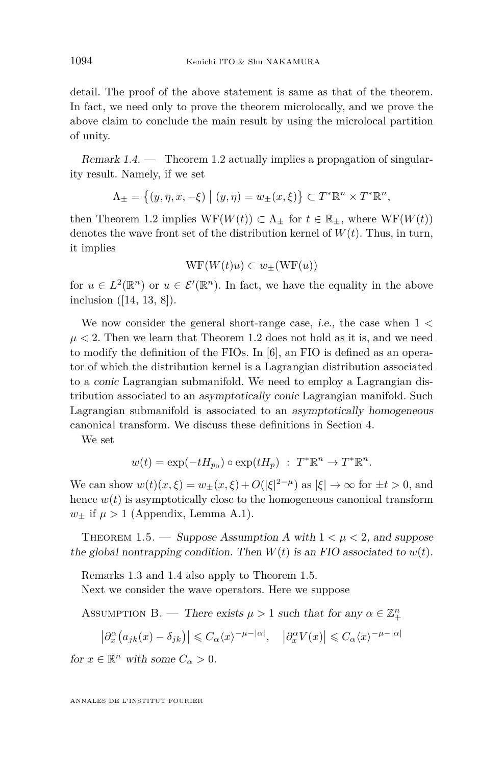<span id="page-4-0"></span>detail. The proof of the above statement is same as that of the theorem. In fact, we need only to prove the theorem microlocally, and we prove the above claim to conclude the main result by using the microlocal partition of unity.

Remark  $1.4.$  — Theorem [1.2](#page-3-0) actually implies a propagation of singularity result. Namely, if we set

$$
\Lambda_{\pm} = \{(y, \eta, x, -\xi) \mid (y, \eta) = w_{\pm}(x, \xi)\} \subset T^* \mathbb{R}^n \times T^* \mathbb{R}^n,
$$

then Theorem [1.2](#page-3-0) implies  $WF(W(t)) \subset \Lambda_+$  for  $t \in \mathbb{R}_+$ , where  $WF(W(t))$ denotes the wave front set of the distribution kernel of  $W(t)$ . Thus, in turn, it implies

$$
\mathrm{WF}(W(t)u) \subset w_{\pm}(\mathrm{WF}(u))
$$

for  $u \in L^2(\mathbb{R}^n)$  or  $u \in \mathcal{E}'(\mathbb{R}^n)$ . In fact, we have the equality in the above inclusion ([\[14,](#page-31-0) [13,](#page-30-0) [8\]](#page-30-0)).

We now consider the general short-range case, i.e., the case when 1 *<*  $\mu$  < 2. Then we learn that Theorem [1.2](#page-3-0) does not hold as it is, and we need to modify the definition of the FIOs. In [\[6\]](#page-30-0), an FIO is defined as an operator of which the distribution kernel is a Lagrangian distribution associated to a conic Lagrangian submanifold. We need to employ a Lagrangian distribution associated to an asymptotically conic Lagrangian manifold. Such Lagrangian submanifold is associated to an asymptotically homogeneous canonical transform. We discuss these definitions in Section [4.](#page-17-0)

We set

$$
w(t) = \exp(-tH_{p_0}) \circ \exp(tH_p) : T^*\mathbb{R}^n \to T^*\mathbb{R}^n.
$$

We can show  $w(t)(x,\xi) = w_{\pm}(x,\xi) + O(|\xi|^{2-\mu})$  as  $|\xi| \to \infty$  for  $\pm t > 0$ , and hence  $w(t)$  is asymptotically close to the homogeneous canonical transform  $w_+$  if  $\mu > 1$  (Appendix, Lemma [A.1\)](#page-24-0).

THEOREM 1.5. — Suppose [A](#page-2-0)ssumption A with  $1 < \mu < 2$ , and suppose the global nontrapping condition. Then  $W(t)$  is an FIO associated to  $w(t)$ .

Remarks [1.3](#page-3-0) and 1.4 also apply to Theorem 1.5. Next we consider the wave operators. Here we suppose

ASSUMPTION B. — There exists  $\mu > 1$  such that for any  $\alpha \in \mathbb{Z}_{+}^{n}$ 

$$
\left|\partial_x^{\alpha}\left(a_{jk}(x)-\delta_{jk}\right)\right|\leqslant C_{\alpha}\langle x\rangle^{-\mu-|\alpha|},\quad \left|\partial_x^{\alpha}V(x)\right|\leqslant C_{\alpha}\langle x\rangle^{-\mu-|\alpha|}
$$

for  $x \in \mathbb{R}^n$  with some  $C_\alpha > 0$ .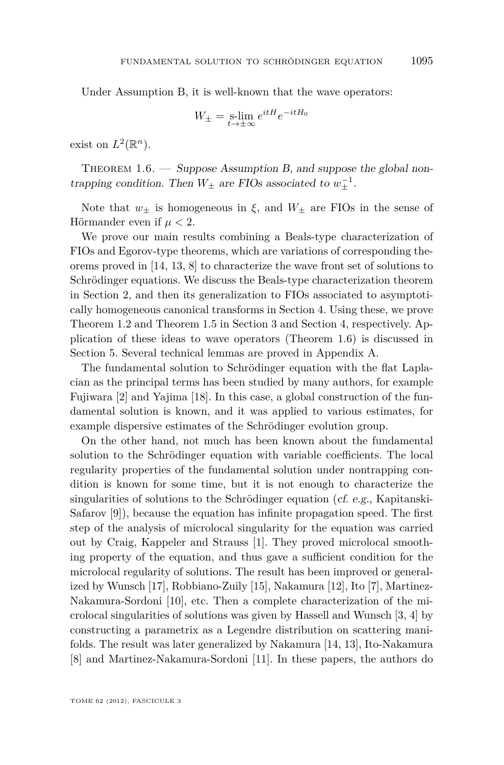<span id="page-5-0"></span>Under Assumption [B,](#page-4-0) it is well-known that the wave operators:

$$
W_{\pm} = \operatorname*{s-lim}_{t \to \pm \infty} e^{itH} e^{-itH_0}
$$

exist on  $L^2(\mathbb{R}^n)$ .

THEOREM  $1.6.$  — Suppose Assumption [B,](#page-4-0) and suppose the global nontrapping condition. Then  $W_{\pm}$  are FIOs associated to  $w_{\pm}^{-1}$ .

Note that  $w_{\pm}$  is homogeneous in  $\xi$ , and  $W_{\pm}$  are FIOs in the sense of Hörmander even if *µ <* 2.

We prove our main results combining a Beals-type characterization of FIOs and Egorov-type theorems, which are variations of corresponding theorems proved in [\[14,](#page-31-0) [13,](#page-30-0) [8\]](#page-30-0) to characterize the wave front set of solutions to Schrödinger equations. We discuss the Beals-type characterization theorem in Section [2,](#page-7-0) and then its generalization to FIOs associated to asymptotically homogeneous canonical transforms in Section [4.](#page-17-0) Using these, we prove Theorem [1.2](#page-3-0) and Theorem [1.5](#page-4-0) in Section [3](#page-13-0) and Section [4,](#page-17-0) respectively. Application of these ideas to wave operators (Theorem 1.6) is discussed in Section [5.](#page-20-0) Several technical lemmas are proved in Appendix [A.](#page-2-0)

The fundamental solution to Schrödinger equation with the flat Laplacian as the principal terms has been studied by many authors, for example Fujiwara [\[2\]](#page-30-0) and Yajima [\[18\]](#page-31-0). In this case, a global construction of the fundamental solution is known, and it was applied to various estimates, for example dispersive estimates of the Schrödinger evolution group.

On the other hand, not much has been known about the fundamental solution to the Schrödinger equation with variable coefficients. The local regularity properties of the fundamental solution under nontrapping condition is known for some time, but it is not enough to characterize the singularities of solutions to the Schrödinger equation (cf. e.g., Kapitanski-Safarov [\[9\]](#page-30-0)), because the equation has infinite propagation speed. The first step of the analysis of microlocal singularity for the equation was carried out by Craig, Kappeler and Strauss [\[1\]](#page-30-0). They proved microlocal smoothing property of the equation, and thus gave a sufficient condition for the microlocal regularity of solutions. The result has been improved or generalized by Wunsch [\[17\]](#page-31-0), Robbiano-Zuily [\[15\]](#page-31-0), Nakamura [\[12\]](#page-30-0), Ito [\[7\]](#page-30-0), Martinez-Nakamura-Sordoni [\[10\]](#page-30-0), etc. Then a complete characterization of the microlocal singularities of solutions was given by Hassell and Wunsch [\[3,](#page-30-0) [4\]](#page-30-0) by constructing a parametrix as a Legendre distribution on scattering manifolds. The result was later generalized by Nakamura [\[14,](#page-31-0) [13\]](#page-30-0), Ito-Nakamura [\[8\]](#page-30-0) and Martinez-Nakamura-Sordoni [\[11\]](#page-30-0). In these papers, the authors do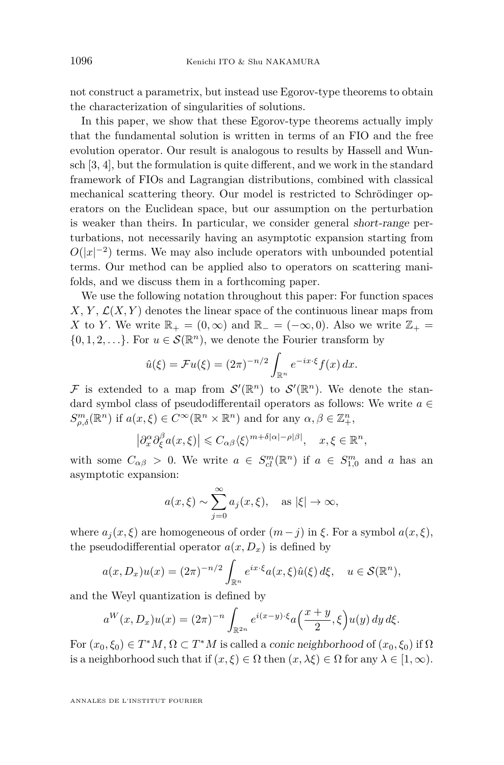not construct a parametrix, but instead use Egorov-type theorems to obtain the characterization of singularities of solutions.

In this paper, we show that these Egorov-type theorems actually imply that the fundamental solution is written in terms of an FIO and the free evolution operator. Our result is analogous to results by Hassell and Wunsch [\[3,](#page-30-0) [4\]](#page-30-0), but the formulation is quite different, and we work in the standard framework of FIOs and Lagrangian distributions, combined with classical mechanical scattering theory. Our model is restricted to Schrödinger operators on the Euclidean space, but our assumption on the perturbation is weaker than theirs. In particular, we consider general short-range perturbations, not necessarily having an asymptotic expansion starting from  $O(|x|^{-2})$  terms. We may also include operators with unbounded potential terms. Our method can be applied also to operators on scattering manifolds, and we discuss them in a forthcoming paper.

We use the following notation throughout this paper: For function spaces  $X, Y, \mathcal{L}(X, Y)$  denotes the linear space of the continuous linear maps from *X* to *Y*. We write  $\mathbb{R}_+ = (0, \infty)$  and  $\mathbb{R}_- = (-\infty, 0)$ . Also we write  $\mathbb{Z}_+ =$  $\{0, 1, 2, \ldots\}$ . For  $u \in \mathcal{S}(\mathbb{R}^n)$ , we denote the Fourier transform by

$$
\hat{u}(\xi) = \mathcal{F}u(\xi) = (2\pi)^{-n/2} \int_{\mathbb{R}^n} e^{-ix\cdot\xi} f(x) dx.
$$

F is extended to a map from  $\mathcal{S}'(\mathbb{R}^n)$  to  $\mathcal{S}'(\mathbb{R}^n)$ . We denote the standard symbol class of pseudodifferentail operators as follows: We write  $a \in$  $S^m_{\rho,\delta}(\mathbb{R}^n)$  if  $a(x,\xi) \in C^\infty(\mathbb{R}^n \times \mathbb{R}^n)$  and for any  $\alpha, \beta \in \mathbb{Z}_+^n$ ,

$$
\left|\partial_x^{\alpha}\partial_{\xi}^{\beta}a(x,\xi)\right|\leqslant C_{\alpha\beta}\langle\xi\rangle^{m+\delta|\alpha|-\rho|\beta|}, \quad x,\xi\in\mathbb{R}^n,
$$

with some  $C_{\alpha\beta} > 0$ . We write  $a \in S_{cl}^m(\mathbb{R}^n)$  if  $a \in S_{1,0}^m$  and *a* has an asymptotic expansion:

$$
a(x,\xi) \sim \sum_{j=0}^{\infty} a_j(x,\xi), \text{ as } |\xi| \to \infty,
$$

where  $a_j(x, \xi)$  are homogeneous of order  $(m - j)$  in  $\xi$ . For a symbol  $a(x, \xi)$ , the pseudodifferential operator  $a(x, D_x)$  is defined by

$$
a(x, D_x)u(x) = (2\pi)^{-n/2} \int_{\mathbb{R}^n} e^{ix\cdot\xi} a(x,\xi)\hat{u}(\xi) d\xi, \quad u \in \mathcal{S}(\mathbb{R}^n),
$$

and the Weyl quantization is defined by

$$
a^W(x, D_x)u(x) = (2\pi)^{-n} \int_{\mathbb{R}^{2n}} e^{i(x-y)\cdot\xi} a\left(\frac{x+y}{2}, \xi\right) u(y) dy d\xi.
$$

For  $(x_0, \xi_0) \in T^*M$ ,  $\Omega \subset T^*M$  is called a *conic neighborhood* of  $(x_0, \xi_0)$  if  $\Omega$ is a neighborhood such that if  $(x,\xi) \in \Omega$  then  $(x,\lambda\xi) \in \Omega$  for any  $\lambda \in [1,\infty)$ .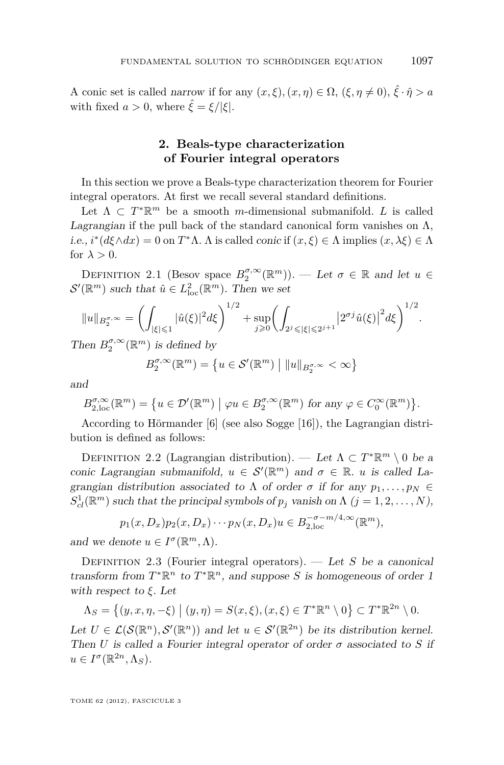<span id="page-7-0"></span>A conic set is called narrow if for any  $(x, \xi), (x, \eta) \in \Omega$ ,  $(\xi, \eta \neq 0)$ ,  $\hat{\xi} \cdot \hat{\eta} > a$ with fixed  $a > 0$ , where  $\hat{\xi} = \xi / |\xi|$ .

#### **2. Beals-type characterization of Fourier integral operators**

In this section we prove a Beals-type characterization theorem for Fourier integral operators. At first we recall several standard definitions.

Let  $\Lambda \subset T^* \mathbb{R}^m$  be a smooth *m*-dimensional submanifold. *L* is called Lagrangian if the pull back of the standard canonical form vanishes on  $\Lambda$ , i.e.,  $i^*(d\xi \wedge dx) = 0$  on  $T^*\Lambda$ .  $\Lambda$  is called *conic* if  $(x,\xi) \in \Lambda$  implies  $(x,\lambda \xi) \in \Lambda$ for  $\lambda > 0$ .

DEFINITION 2.1 (Besov space  $B_2^{\sigma,\infty}(\mathbb{R}^m)$ ). — Let  $\sigma \in \mathbb{R}$  and let  $u \in$  $\mathcal{S}'(\mathbb{R}^m)$  such that  $\hat{u} \in L^2_{\text{loc}}(\mathbb{R}^m)$ . Then we set

$$
||u||_{B_2^{\sigma,\infty}} = \left(\int_{|\xi| \leq 1} |\hat{u}(\xi)|^2 d\xi\right)^{1/2} + \sup_{j \geq 0} \left(\int_{2^j \leq |\xi| \leq 2^{j+1}} \left|2^{\sigma j} \hat{u}(\xi)\right|^2 d\xi\right)^{1/2}.
$$

Then  $B_2^{\sigma,\infty}(\mathbb{R}^m)$  is defined by

$$
B_2^{\sigma,\infty}(\mathbb{R}^m) = \left\{ u \in \mathcal{S}'(\mathbb{R}^m) \mid ||u||_{B_2^{\sigma,\infty}} < \infty \right\}
$$

and

$$
B_{2,\text{loc}}^{\sigma,\infty}(\mathbb{R}^m) = \{ u \in \mathcal{D}'(\mathbb{R}^m) \mid \varphi u \in B_2^{\sigma,\infty}(\mathbb{R}^m) \text{ for any } \varphi \in C_0^{\infty}(\mathbb{R}^m) \}.
$$

According to Hörmander [\[6\]](#page-30-0) (see also Sogge [\[16\]](#page-31-0)), the Lagrangian distribution is defined as follows:

DEFINITION 2.2 (Lagrangian distribution). — Let  $\Lambda \subset T^* \mathbb{R}^m \setminus 0$  be a conic Lagrangian submanifold,  $u \in S'(\mathbb{R}^m)$  and  $\sigma \in \mathbb{R}$ . *u* is called Lagrangian distribution associated to  $\Lambda$  of order  $\sigma$  if for any  $p_1, \ldots, p_N \in$  $S<sub>cl</sub><sup>1</sup>(\mathbb{R}<sup>m</sup>)$  such that the principal symbols of  $p_j$  vanish on  $\Lambda$   $(j = 1, 2, ..., N)$ ,

$$
p_1(x, D_x)p_2(x, D_x)\cdots p_N(x, D_x)u \in B_{2,loc}^{-\sigma-m/4,\infty}(\mathbb{R}^m),
$$

and we denote  $u \in I^{\sigma}(\mathbb{R}^m, \Lambda)$ .

DEFINITION 2.3 (Fourier integral operators). — Let *S* be a canonical transform from  $T^*\mathbb{R}^n$  to  $T^*\mathbb{R}^n$ , and suppose *S* is homogeneous of order 1 with respect to *ξ*. Let

$$
\Lambda_S = \left\{ (y, x, \eta, -\xi) \mid (y, \eta) = S(x, \xi), (x, \xi) \in T^* \mathbb{R}^n \setminus 0 \right\} \subset T^* \mathbb{R}^{2n} \setminus 0.
$$

Let  $U \in \mathcal{L}(\mathcal{S}(\mathbb{R}^n), \mathcal{S}'(\mathbb{R}^n))$  and let  $u \in \mathcal{S}'(\mathbb{R}^{2n})$  be its distribution kernel. Then *U* is called a Fourier integral operator of order  $\sigma$  associated to *S* if  $u \in I^{\sigma}(\mathbb{R}^{2n}, \Lambda_S).$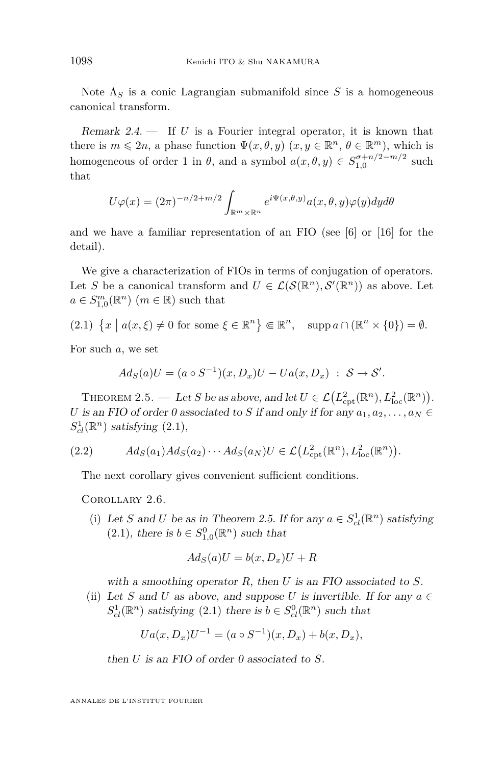<span id="page-8-0"></span>Note  $\Lambda_S$  is a conic Lagrangian submanifold since S is a homogeneous canonical transform.

Remark 2.4. — If *U* is a Fourier integral operator, it is known that there is  $m \leq 2n$ , a phase function  $\Psi(x, \theta, y)$   $(x, y \in \mathbb{R}^n, \theta \in \mathbb{R}^m)$ , which is homogeneous of order 1 in  $\theta$ , and a symbol  $a(x, \theta, y) \in S_{1,0}^{\sigma+n/2-m/2}$  such that

$$
U\varphi(x) = (2\pi)^{-n/2+m/2} \int_{\mathbb{R}^m \times \mathbb{R}^n} e^{i\Psi(x,\theta,y)} a(x,\theta,y) \varphi(y) dy d\theta
$$

and we have a familiar representation of an FIO (see [\[6\]](#page-30-0) or [\[16\]](#page-31-0) for the detail).

We give a characterization of FIOs in terms of conjugation of operators. Let *S* be a canonical transform and  $U \in \mathcal{L}(\mathcal{S}(\mathbb{R}^n), \mathcal{S}'(\mathbb{R}^n))$  as above. Let  $a \in S^{m}_{1,0}(\mathbb{R}^{n})$  (*m*  $\in \mathbb{R}$ ) such that

$$
(2.1) \ \{x \mid a(x,\xi) \neq 0 \text{ for some } \xi \in \mathbb{R}^n\} \Subset \mathbb{R}^n, \quad \text{supp } a \cap (\mathbb{R}^n \times \{0\}) = \emptyset.
$$

For such *a*, we set

$$
Ad_S(a)U = (a \circ S^{-1})(x, D_x)U - Ua(x, D_x) : S \to S'.
$$

THEOREM 2.5. — Let *S* be as above, and let  $U \in \mathcal{L}(L^2_{\text{cpt}}(\mathbb{R}^n), L^2_{\text{loc}}(\mathbb{R}^n)).$ *U* is an FIO of order 0 associated to *S* if and only if for any  $a_1, a_2, \ldots, a_N \in$  $S<sub>cl</sub><sup>1</sup>(\mathbb{R}<sup>n</sup>)$  satisfying (2.1),

$$
(2.2) \tAd_S(a_1)Ad_S(a_2)\cdots Ad_S(a_N)U \in \mathcal{L}\left(L^2_{\text{cpt}}(\mathbb{R}^n), L^2_{\text{loc}}(\mathbb{R}^n)\right).
$$

The next corollary gives convenient sufficient conditions.

Corollary 2.6.

(i) Let *S* and *U* be as in Theorem 2.5. If for any  $a \in S^1_{cl}(\mathbb{R}^n)$  satisfying  $(2.1)$ , there is  $b \in S^0_{1,0}(\mathbb{R}^n)$  such that

$$
Ad_S(a)U = b(x, D_x)U + R
$$

with a smoothing operator *R*, then *U* is an FIO associated to *S*.

(ii) Let *S* and *U* as above, and suppose *U* is invertible. If for any  $a \in$  $S_{cl}^1(\mathbb{R}^n)$  satisfying (2.1) there is  $b \in S_{cl}^0(\mathbb{R}^n)$  such that

$$
Ua(x, D_x)U^{-1} = (a \circ S^{-1})(x, D_x) + b(x, D_x),
$$

then *U* is an FIO of order 0 associated to *S*.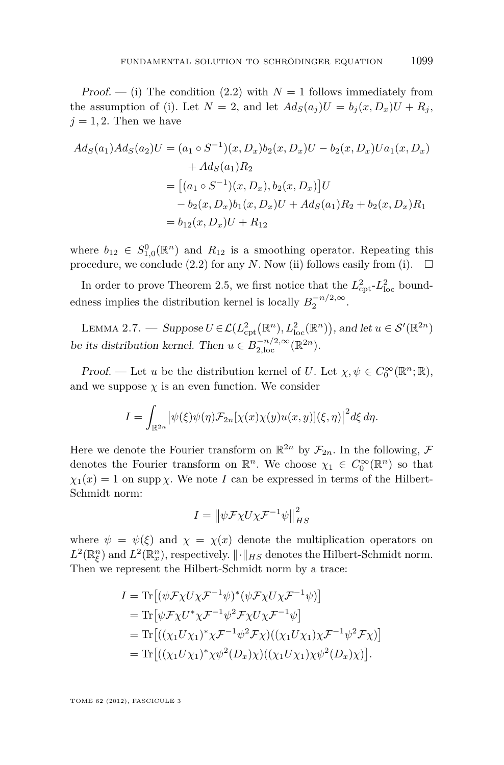<span id="page-9-0"></span>Proof. — (i) The condition [\(2.2\)](#page-8-0) with  $N=1$  follows immediately from the assumption of (i). Let  $N = 2$ , and let  $Ad_S(a_i)U = b_i(x, D_x)U + R_i$ ,  $j = 1, 2$ . Then we have

$$
Ad_S(a_1)Ad_S(a_2)U = (a_1 \circ S^{-1})(x, D_x)b_2(x, D_x)U - b_2(x, D_x)Ua_1(x, D_x)
$$
  
+  $Ad_S(a_1)R_2$   
=  $[(a_1 \circ S^{-1})(x, D_x), b_2(x, D_x)]U$   
-  $b_2(x, D_x)b_1(x, D_x)U + Ad_S(a_1)R_2 + b_2(x, D_x)R_1$   
=  $b_{12}(x, D_x)U + R_{12}$ 

where  $b_{12} \in S^0_{1,0}(\mathbb{R}^n)$  and  $R_{12}$  is a smoothing operator. Repeating this procedure, we conclude [\(2.2\)](#page-8-0) for any *N*. Now (ii) follows easily from (i).  $\Box$ 

In order to prove Theorem [2.5,](#page-8-0) we first notice that the  $L_{\text{cpt}}^2$ - $L_{\text{loc}}^2$  boundedness implies the distribution kernel is locally  $B_2^{-n/2,\infty}$ .

LEMMA 2.7. — Suppose  $U \in \mathcal{L}(L^2_{\text{cpt}}(\mathbb{R}^n), L^2_{\text{loc}}(\mathbb{R}^n))$ , and let  $u \in \mathcal{S}'(\mathbb{R}^{2n})$ be its distribution kernel. Then  $u \in B^{-n/2,\infty}_{2,\text{loc}}(\mathbb{R}^{2n})$ .

Proof. — Let *u* be the distribution kernel of *U*. Let  $\chi, \psi \in C_0^{\infty}(\mathbb{R}^n; \mathbb{R})$ , and we suppose  $\chi$  is an even function. We consider

$$
I = \int_{\mathbb{R}^{2n}} \left| \psi(\xi) \psi(\eta) \mathcal{F}_{2n}[\chi(x) \chi(y) u(x, y)](\xi, \eta) \right|^2 d\xi d\eta.
$$

Here we denote the Fourier transform on  $\mathbb{R}^{2n}$  by  $\mathcal{F}_{2n}$ . In the following,  $\mathcal{F}$ denotes the Fourier transform on  $\mathbb{R}^n$ . We choose  $\chi_1 \in C_0^{\infty}(\mathbb{R}^n)$  so that  $\chi_1(x) = 1$  on supp *χ*. We note *I* can be expressed in terms of the Hilbert-Schmidt norm:

$$
I = \left\| \psi \mathcal{F} \chi U \chi \mathcal{F}^{-1} \psi \right\|_{HS}^2
$$

where  $\psi = \psi(\xi)$  and  $\chi = \chi(x)$  denote the multiplication operators on  $L^2(\mathbb{R}^n_{\xi})$  and  $L^2(\mathbb{R}^n_x)$ , respectively.  $\|\cdot\|_{HS}$  denotes the Hilbert-Schmidt norm. Then we represent the Hilbert-Schmidt norm by a trace:

$$
I = \text{Tr}\left[ (\psi \mathcal{F} \chi U \chi \mathcal{F}^{-1} \psi)^* (\psi \mathcal{F} \chi U \chi \mathcal{F}^{-1} \psi) \right]
$$
  
\n
$$
= \text{Tr}\left[ \psi \mathcal{F} \chi U^* \chi \mathcal{F}^{-1} \psi^2 \mathcal{F} \chi U \chi \mathcal{F}^{-1} \psi \right]
$$
  
\n
$$
= \text{Tr}\left[ ((\chi_1 U \chi_1)^* \chi \mathcal{F}^{-1} \psi^2 \mathcal{F} \chi)((\chi_1 U \chi_1) \chi \mathcal{F}^{-1} \psi^2 \mathcal{F} \chi) \right]
$$
  
\n
$$
= \text{Tr}\left[ ((\chi_1 U \chi_1)^* \chi \psi^2 (D_x) \chi)((\chi_1 U \chi_1) \chi \psi^2 (D_x) \chi) \right].
$$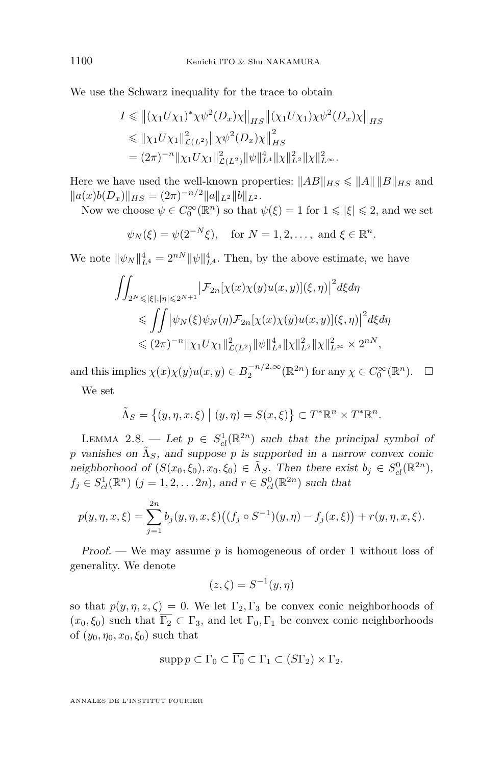<span id="page-10-0"></span>We use the Schwarz inequality for the trace to obtain

$$
I \leq \|(\chi_1 U \chi_1)^* \chi \psi^2(D_x) \chi\|_{HS} \|(\chi_1 U \chi_1) \chi \psi^2(D_x) \chi\|_{HS}
$$
  
\n
$$
\leq \| \chi_1 U \chi_1\|_{\mathcal{L}(L^2)}^2 \| \chi \psi^2(D_x) \chi\|_{HS}^2
$$
  
\n
$$
= (2\pi)^{-n} \| \chi_1 U \chi_1\|_{\mathcal{L}(L^2)}^2 \| \psi\|_{L^4}^4 \| \chi\|_{L^2}^2 \| \chi\|_{L^\infty}^2.
$$

Here we have used the well-known properties:  $||AB||_{HS} \le ||A|| ||B||_{HS}$  and  $||a(x)b(D_x)||_{HS} = (2\pi)^{-n/2} ||a||_{L^2} ||b||_{L^2}.$ 

Now we choose  $\psi \in C_0^{\infty}(\mathbb{R}^n)$  so that  $\psi(\xi) = 1$  for  $1 \leqslant |\xi| \leqslant 2$ , and we set

$$
\psi_N(\xi) = \psi(2^{-N}\xi), \text{ for } N = 1, 2, ..., \text{ and } \xi \in \mathbb{R}^n.
$$

We note  $\|\psi_N\|_{L^4}^4 = 2^{nN} \|\psi\|_{L^4}^4$ . Then, by the above estimate, we have

$$
\iint_{2^N \leq |\xi|, |\eta| \leq 2^{N+1}} \left| \mathcal{F}_{2n}[\chi(x)\chi(y)u(x,y)](\xi,\eta) \right|^2 d\xi d\eta
$$
  
\n
$$
\leq \iint \left| \psi_N(\xi)\psi_N(\eta) \mathcal{F}_{2n}[\chi(x)\chi(y)u(x,y)](\xi,\eta) \right|^2 d\xi d\eta
$$
  
\n
$$
\leq (2\pi)^{-n} \|\chi_1 U \chi_1\|_{\mathcal{L}(L^2)}^2 \|\psi\|_{L^4}^4 \|\chi\|_{L^2}^2 \|\chi\|_{L^\infty}^2 \times 2^{nN},
$$

and this implies  $\chi(x)\chi(y)u(x,y) \in B_2^{-n/2,\infty}(\mathbb{R}^{2n})$  for any  $\chi \in C_0^{\infty}(\mathbb{R}^n)$ .  $\Box$ 

We set

$$
\tilde{\Lambda}_S = \left\{ (y, \eta, x, \xi) \mid (y, \eta) = S(x, \xi) \right\} \subset T^* \mathbb{R}^n \times T^* \mathbb{R}^n.
$$

LEMMA 2.8. — Let  $p \in S^1_{cl}(\mathbb{R}^{2n})$  such that the principal symbol of *p* vanishes on  $\tilde{\Lambda}_S$ , and suppose *p* is supported in a narrow convex conic neighborhood of  $(S(x_0, \xi_0), x_0, \xi_0) \in \tilde{\Lambda}_S$ . Then there exist  $b_j \in S^0_{cl}(\mathbb{R}^{2n})$ ,  $f_j \in S_{cl}^1(\mathbb{R}^n)$   $(j = 1, 2, \dots 2n)$ , and  $r \in S_{cl}^0(\mathbb{R}^{2n})$  such that

$$
p(y, \eta, x, \xi) = \sum_{j=1}^{2n} b_j(y, \eta, x, \xi) ((f_j \circ S^{-1})(y, \eta) - f_j(x, \xi)) + r(y, \eta, x, \xi).
$$

Proof. — We may assume *p* is homogeneous of order 1 without loss of generality. We denote

$$
(z,\zeta) = S^{-1}(y,\eta)
$$

so that  $p(y, \eta, z, \zeta) = 0$ . We let  $\Gamma_2, \Gamma_3$  be convex conic neighborhoods of  $(x_0, \xi_0)$  such that  $\overline{\Gamma_2} \subset \Gamma_3$ , and let  $\Gamma_0, \Gamma_1$  be convex conic neighborhoods of  $(y_0, \eta_0, x_0, \xi_0)$  such that

$$
\mathrm{supp}\, p \subset \Gamma_0 \subset \overline{\Gamma_0} \subset \Gamma_1 \subset (S\Gamma_2) \times \Gamma_2.
$$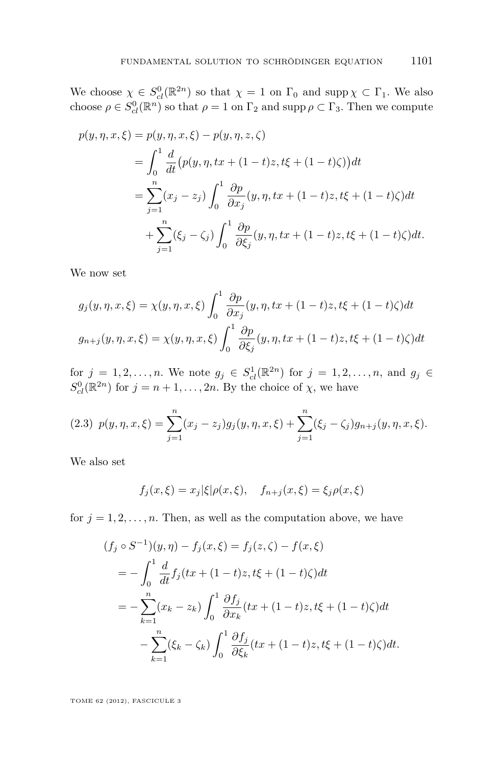<span id="page-11-0"></span>We choose  $\chi \in S^0_{cl}(\mathbb{R}^{2n})$  so that  $\chi = 1$  on  $\Gamma_0$  and supp  $\chi \subset \Gamma_1$ . We also choose  $\rho \in S^0_{cl}(\mathbb{R}^n)$  so that  $\rho = 1$  on  $\Gamma_2$  and supp  $\rho \subset \Gamma_3$ . Then we compute

$$
p(y, \eta, x, \xi) = p(y, \eta, x, \xi) - p(y, \eta, z, \zeta)
$$
  
= 
$$
\int_0^1 \frac{d}{dt} (p(y, \eta, tx + (1-t)z, t\xi + (1-t)\zeta)) dt
$$
  
= 
$$
\sum_{j=1}^n (x_j - z_j) \int_0^1 \frac{\partial p}{\partial x_j} (y, \eta, tx + (1-t)z, t\xi + (1-t)\zeta) dt
$$
  
+ 
$$
\sum_{j=1}^n (\xi_j - \zeta_j) \int_0^1 \frac{\partial p}{\partial \xi_j} (y, \eta, tx + (1-t)z, t\xi + (1-t)\zeta) dt.
$$

We now set

$$
g_j(y, \eta, x, \xi) = \chi(y, \eta, x, \xi) \int_0^1 \frac{\partial p}{\partial x_j}(y, \eta, tx + (1-t)z, t\xi + (1-t)\zeta)dt
$$
  

$$
g_{n+j}(y, \eta, x, \xi) = \chi(y, \eta, x, \xi) \int_0^1 \frac{\partial p}{\partial \xi_j}(y, \eta, tx + (1-t)z, t\xi + (1-t)\zeta)dt
$$

for  $j = 1, 2, ..., n$ . We note  $g_j \in S_{cl}^1(\mathbb{R}^{2n})$  for  $j = 1, 2, ..., n$ , and  $g_j \in S_{cl}^1(\mathbb{R}^{2n})$  $S_{cl}^{0}(\mathbb{R}^{2n})$  for  $j = n + 1, ..., 2n$ . By the choice of  $\chi$ , we have

$$
(2.3) \ \ p(y, \eta, x, \xi) = \sum_{j=1}^{n} (x_j - z_j) g_j(y, \eta, x, \xi) + \sum_{j=1}^{n} (\xi_j - \zeta_j) g_{n+j}(y, \eta, x, \xi).
$$

We also set

$$
f_j(x,\xi) = x_j|\xi|\rho(x,\xi), \quad f_{n+j}(x,\xi) = \xi_j\rho(x,\xi)
$$

for  $j = 1, 2, \ldots, n$ . Then, as well as the computation above, we have

$$
(f_j \circ S^{-1})(y, \eta) - f_j(x, \xi) = f_j(z, \zeta) - f(x, \xi)
$$
  
=  $-\int_0^1 \frac{d}{dt} f_j(tx + (1-t)z, t\xi + (1-t)\zeta)dt$   
=  $-\sum_{k=1}^n (x_k - z_k) \int_0^1 \frac{\partial f_j}{\partial x_k} (tx + (1-t)z, t\xi + (1-t)\zeta)dt$   
 $-\sum_{k=1}^n (\xi_k - \zeta_k) \int_0^1 \frac{\partial f_j}{\partial \xi_k} (tx + (1-t)z, t\xi + (1-t)\zeta)dt.$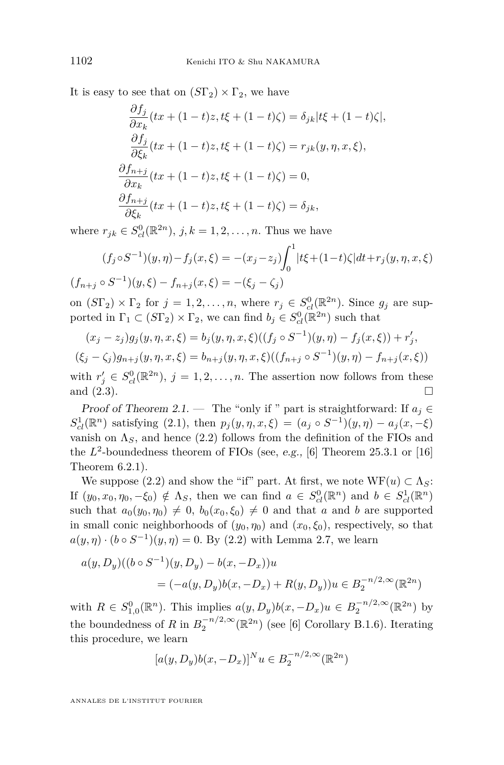It is easy to see that on  $(S\Gamma_2) \times \Gamma_2$ , we have

$$
\frac{\partial f_j}{\partial x_k}(tx + (1-t)z, t\xi + (1-t)\zeta) = \delta_{jk}|t\xi + (1-t)\zeta|,
$$
  
\n
$$
\frac{\partial f_j}{\partial \xi_k}(tx + (1-t)z, t\xi + (1-t)\zeta) = r_{jk}(y, \eta, x, \xi),
$$
  
\n
$$
\frac{\partial f_{n+j}}{\partial x_k}(tx + (1-t)z, t\xi + (1-t)\zeta) = 0,
$$
  
\n
$$
\frac{\partial f_{n+j}}{\partial \xi_k}(tx + (1-t)z, t\xi + (1-t)\zeta) = \delta_{jk},
$$

where  $r_{jk} \in S_{cl}^{0}(\mathbb{R}^{2n}), j, k = 1, 2, ..., n$ . Thus we have

$$
(f_j \circ S^{-1})(y, \eta) - f_j(x, \xi) = -(x_j - z_j) \int_0^1 |t\xi + (1 - t)\zeta| dt + r_j(y, \eta, x, \xi)
$$
  

$$
(f_{n+j} \circ S^{-1})(y, \xi) - f_{n+j}(x, \xi) = -(\xi_j - \zeta_j)
$$

on  $(S\Gamma_2) \times \Gamma_2$  for  $j = 1, 2, ..., n$ , where  $r_j \in S_{cl}^0(\mathbb{R}^{2n})$ . Since  $g_j$  are supported in  $\Gamma_1 \subset (S\Gamma_2) \times \Gamma_2$ , we can find  $b_j \in S_{cl}^0(\mathbb{R}^{2n})$  such that

$$
(x_j - z_j)g_j(y, \eta, x, \xi) = b_j(y, \eta, x, \xi)((f_j \circ S^{-1})(y, \eta) - f_j(x, \xi)) + r'_j,
$$
  

$$
(\xi_j - \zeta_j)g_{n+j}(y, \eta, x, \xi) = b_{n+j}(y, \eta, x, \xi)((f_{n+j} \circ S^{-1})(y, \eta) - f_{n+j}(x, \xi))
$$

with  $r'_j \in S^0_{cl}(\mathbb{R}^{2n})$ ,  $j = 1, 2, ..., n$ . The assertion now follows from these and  $(2.3)$ .

Proof of Theorem 2.1. — The "only if " part is straightforward: If  $a_j \in$  $S_{cl}^{1}(\mathbb{R}^{n})$  satisfying [\(2.1\)](#page-8-0), then  $p_{j}(y, \eta, x, \xi) = (a_{j} \circ S^{-1})(y, \eta) - a_{j}(x, -\xi)$ vanish on  $\Lambda_S$ , and hence [\(2.2\)](#page-8-0) follows from the definition of the FIOs and the  $L^2$ -boundedness theorem of FIOs (see, e.g., [\[6\]](#page-30-0) Theorem 25.3.1 or [\[16\]](#page-31-0) Theorem 6.2.1).

We suppose [\(2.2\)](#page-8-0) and show the "if" part. At first, we note  $WF(u) \subset \Lambda_S$ : If  $(y_0, x_0, \eta_0, -\xi_0) \notin \Lambda_S$ , then we can find  $a \in S^0_{cl}(\mathbb{R}^n)$  and  $b \in S^1_{cl}(\mathbb{R}^n)$ such that  $a_0(y_0, \eta_0) \neq 0$ ,  $b_0(x_0, \xi_0) \neq 0$  and that *a* and *b* are supported in small conic neighborhoods of  $(y_0, \eta_0)$  and  $(x_0, \xi_0)$ , respectively, so that  $a(y, \eta) \cdot (b \circ S^{-1})(y, \eta) = 0$ . By [\(2.2\)](#page-8-0) with Lemma [2.7,](#page-9-0) we learn

$$
a(y, D_y)((b \circ S^{-1})(y, D_y) - b(x, -D_x))u
$$
  
=  $(-a(y, D_y)b(x, -D_x) + R(y, D_y))u \in B_2^{-n/2, \infty}(\mathbb{R}^{2n})$ 

with  $R \in S^0_{1,0}(\mathbb{R}^n)$ . This implies  $a(y, D_y)b(x, -D_x)u \in B_2^{-n/2, \infty}(\mathbb{R}^{2n})$  by the boundedness of *R* in  $B_2^{-n/2,\infty}(\mathbb{R}^{2n})$  (see [\[6\]](#page-30-0) Corollary B.1.6). Iterating this procedure, we learn

$$
[a(y, D_y)b(x, -D_x)]^N u \in B_2^{-n/2, \infty}(\mathbb{R}^{2n})
$$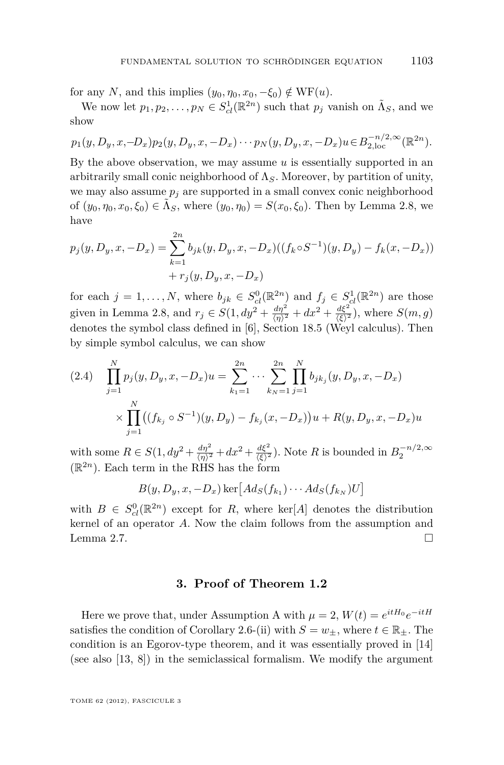<span id="page-13-0"></span>for any *N*, and this implies  $(y_0, \eta_0, x_0, -\xi_0) \notin \text{WF}(u)$ .

We now let  $p_1, p_2, \ldots, p_N \in S^1_{cl}(\mathbb{R}^{2n})$  such that  $p_j$  vanish on  $\tilde{\Lambda}_S$ , and we show

$$
p_1(y, D_y, x, -D_x)p_2(y, D_y, x, -D_x) \cdots p_N(y, D_y, x, -D_x)u \in B_{2, \text{loc}}^{-n/2, \infty}(\mathbb{R}^{2n}).
$$

By the above observation, we may assume *u* is essentially supported in an arbitrarily small conic neighborhood of Λ*S*. Moreover, by partition of unity, we may also assume  $p_i$  are supported in a small convex conic neighborhood of  $(y_0, \eta_0, x_0, \xi_0) \in \tilde{\Lambda}_S$ , where  $(y_0, \eta_0) = S(x_0, \xi_0)$ . Then by Lemma [2.8,](#page-10-0) we have

$$
p_j(y, D_y, x, -D_x) = \sum_{k=1}^{2n} b_{jk}(y, D_y, x, -D_x)((f_k \circ S^{-1})(y, D_y) - f_k(x, -D_x))
$$
  
+  $r_j(y, D_y, x, -D_x)$ 

for each  $j = 1, ..., N$ , where  $b_{jk} \in S_{cl}^{0}(\mathbb{R}^{2n})$  and  $f_j \in S_{cl}^{1}(\mathbb{R}^{2n})$  are those given in Lemma [2.8,](#page-10-0) and  $r_j \in S(1, dy^2 + \frac{d\eta^2}{\langle \eta \rangle^2} + dx^2 + \frac{d\xi^2}{\langle \xi \rangle^2})$ , where  $S(m, g)$ denotes the symbol class defined in [\[6\]](#page-30-0), Section 18.5 (Weyl calculus). Then by simple symbol calculus, we can show

$$
(2.4) \quad \prod_{j=1}^{N} p_j(y, D_y, x, -D_x)u = \sum_{k_1=1}^{2n} \cdots \sum_{k_N=1}^{2n} \prod_{j=1}^{N} b_{jk_j}(y, D_y, x, -D_x) \times \prod_{j=1}^{N} ((f_{k_j} \circ S^{-1})(y, D_y) - f_{k_j}(x, -D_x))u + R(y, D_y, x, -D_x)u
$$

with some  $R \in S(1, dy^2 + \frac{d\eta^2}{\langle \eta \rangle^2} + dx^2 + \frac{d\xi^2}{\langle \xi \rangle^2})$ . Note *R* is bounded in  $B_2^{-n/2, \infty}$  $(\mathbb{R}^{2n})$ . Each term in the RHS has the form

$$
B(y, D_y, x, -D_x) \ker \big[ Ad_S(f_{k_1}) \cdots Ad_S(f_{k_N}) U \big]
$$

with  $B \in S^0_{cl}(\mathbb{R}^{2n})$  except for *R*, where ker[*A*] denotes the distribution kernel of an operator *A*. Now the claim follows from the assumption and Lemma [2.7.](#page-9-0)

#### **3. Proof of Theorem [1.2](#page-3-0)**

Here we prove that, under [A](#page-2-0)ssumption A with  $\mu = 2$ ,  $W(t) = e^{itH_0}e^{-itH}$ satisfies the condition of Corollary [2.6-](#page-8-0)(ii) with  $S = w_{\pm}$ , where  $t \in \mathbb{R}_{\pm}$ . The condition is an Egorov-type theorem, and it was essentially proved in [\[14\]](#page-31-0) (see also [\[13,](#page-30-0) [8\]](#page-30-0)) in the semiclassical formalism. We modify the argument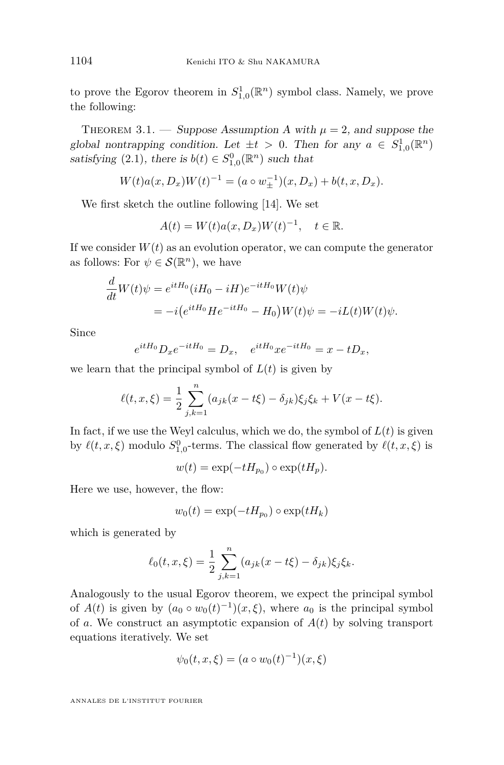<span id="page-14-0"></span>to prove the Egorov theorem in  $S^1_{1,0}(\mathbb{R}^n)$  symbol class. Namely, we prove the following:

THEOREM 3.1. — Suppose [A](#page-2-0)ssumption A with  $\mu = 2$ , and suppose the global nontrapping condition. Let  $\pm t > 0$ . Then for any  $a \in S^1_{1,0}(\mathbb{R}^n)$ satisfying [\(2.1\)](#page-8-0), there is  $b(t) \in S^0_{1,0}(\mathbb{R}^n)$  such that

$$
W(t)a(x, D_x)W(t)^{-1} = (a \circ w_{\pm}^{-1})(x, D_x) + b(t, x, D_x).
$$

We first sketch the outline following [\[14\]](#page-31-0). We set

$$
A(t) = W(t)a(x, D_x)W(t)^{-1}, \quad t \in \mathbb{R}.
$$

If we consider  $W(t)$  as an evolution operator, we can compute the generator as follows: For  $\psi \in \mathcal{S}(\mathbb{R}^n)$ , we have

$$
\frac{d}{dt}W(t)\psi = e^{itH_0}(iH_0 - iH)e^{-itH_0}W(t)\psi
$$
  
=  $-i(e^{itH_0}He^{-itH_0} - H_0)W(t)\psi = -iL(t)W(t)\psi.$ 

Since

$$
e^{itH_0}D_x e^{-itH_0} = D_x
$$
,  $e^{itH_0}xe^{-itH_0} = x - tD_x$ ,

we learn that the principal symbol of  $L(t)$  is given by

$$
\ell(t, x, \xi) = \frac{1}{2} \sum_{j,k=1}^{n} (a_{jk}(x - t\xi) - \delta_{jk}) \xi_j \xi_k + V(x - t\xi).
$$

In fact, if we use the Weyl calculus, which we do, the symbol of  $L(t)$  is given by  $\ell(t, x, \xi)$  modulo  $S^0_{1,0}$ -terms. The classical flow generated by  $\ell(t, x, \xi)$  is

 $w(t) = \exp(-tH_{p_0}) \circ \exp(tH_p).$ 

Here we use, however, the flow:

$$
w_0(t) = \exp(-tH_{p_0}) \circ \exp(tH_k)
$$

which is generated by

$$
\ell_0(t, x, \xi) = \frac{1}{2} \sum_{j,k=1}^n (a_{jk}(x - t\xi) - \delta_{jk}) \xi_j \xi_k.
$$

Analogously to the usual Egorov theorem, we expect the principal symbol of  $A(t)$  is given by  $(a_0 \circ w_0(t)^{-1})(x,\xi)$ , where  $a_0$  is the principal symbol of *a*. We construct an asymptotic expansion of  $A(t)$  by solving transport equations iteratively. We set

$$
\psi_0(t, x, \xi) = (a \circ w_0(t)^{-1})(x, \xi)
$$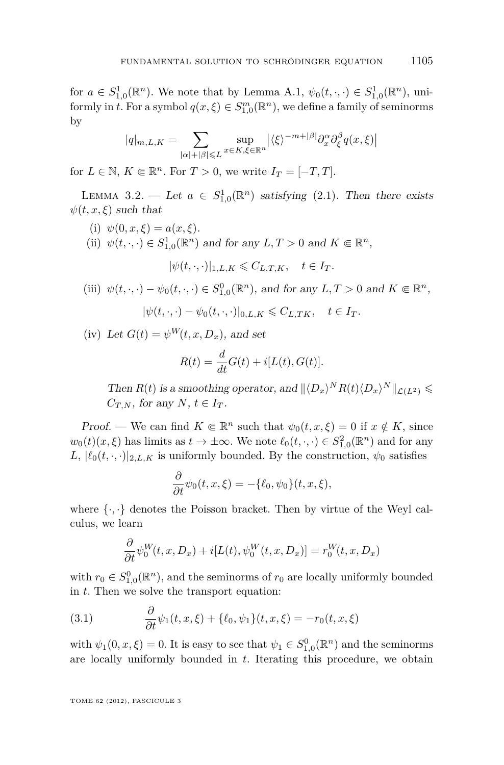<span id="page-15-0"></span>for  $a \in S^1_{1,0}(\mathbb{R}^n)$ . We note that by Lemma [A.1,](#page-24-0)  $\psi_0(t, \cdot, \cdot) \in S^1_{1,0}(\mathbb{R}^n)$ , uniformly in *t*. For a symbol  $q(x, \xi) \in S^{m}_{1,0}(\mathbb{R}^{n})$ , we define a family of seminorms by

$$
|q|_{m,L,K} = \sum_{|\alpha|+|\beta| \leq L} \sup_{x \in K, \xi \in \mathbb{R}^n} \left| \langle \xi \rangle^{-m+|\beta|} \partial_x^{\alpha} \partial_{\xi}^{\beta} q(x,\xi) \right|
$$

for  $L \in \mathbb{N}$ ,  $K \Subset \mathbb{R}^n$ . For  $T > 0$ , we write  $I_T = [-T, T]$ .

LEMMA 3.2. — Let  $a \in S^1_{1,0}(\mathbb{R}^n)$  satisfying [\(2.1\)](#page-8-0). Then there exists  $\psi(t, x, \xi)$  such that

- (i)  $\psi(0, x, \xi) = a(x, \xi)$ .
- (ii)  $\psi(t, \cdot, \cdot) \in S^1_{1,0}(\mathbb{R}^n)$  and for any  $L, T > 0$  and  $K \in \mathbb{R}^n$ ,

$$
|\psi(t,\cdot,\cdot)|_{1,L,K}\leqslant C_{L,T,K},\quad t\in I_T.
$$

(iii) 
$$
\psi(t, \cdot, \cdot) - \psi_0(t, \cdot, \cdot) \in S^0_{1,0}(\mathbb{R}^n)
$$
, and for any  $L, T > 0$  and  $K \in \mathbb{R}^n$ ,

$$
|\psi(t,\cdot,\cdot)-\psi_0(t,\cdot,\cdot)|_{0,L,K}\leqslant C_{L,TK}, \quad t\in I_T.
$$

(iv) Let  $G(t) = \psi^W(t, x, D_x)$ , and set

$$
R(t) = \frac{d}{dt}G(t) + i[L(t), G(t)].
$$

Then  $R(t)$  is a smoothing operator, and  $||\langle D_x \rangle^N R(t) \langle D_x \rangle^N ||_{\mathcal{L}(L^2)} \leq$ *C*<sub>*T*</sub>,*N*, *for any <i>N*,  $t \in I_T$ .

Proof. — We can find  $K \in \mathbb{R}^n$  such that  $\psi_0(t, x, \xi) = 0$  if  $x \notin K$ , since  $w_0(t)(x,\xi)$  has limits as  $t \to \pm \infty$ . We note  $\ell_0(t,\cdot,\cdot) \in S^2_{1,0}(\mathbb{R}^n)$  and for any *L*,  $|\ell_0(t, \cdot, \cdot)|_{2, L, K}$  is uniformly bounded. By the construction,  $\psi_0$  satisfies

$$
\frac{\partial}{\partial t}\psi_0(t,x,\xi) = -\{\ell_0,\psi_0\}(t,x,\xi),
$$

where  $\{\cdot,\cdot\}$  denotes the Poisson bracket. Then by virtue of the Weyl calculus, we learn

$$
\frac{\partial}{\partial t}\psi_0^W(t, x, D_x) + i[L(t), \psi_0^W(t, x, D_x)] = r_0^W(t, x, D_x)
$$

with  $r_0 \in S^0_{1,0}(\mathbb{R}^n)$ , and the seminorms of  $r_0$  are locally uniformly bounded in *t*. Then we solve the transport equation:

(3.1) 
$$
\frac{\partial}{\partial t}\psi_1(t,x,\xi) + \{\ell_0,\psi_1\}(t,x,\xi) = -r_0(t,x,\xi)
$$

with  $\psi_1(0, x, \xi) = 0$ . It is easy to see that  $\psi_1 \in S^0_{1,0}(\mathbb{R}^n)$  and the seminorms are locally uniformly bounded in *t*. Iterating this procedure, we obtain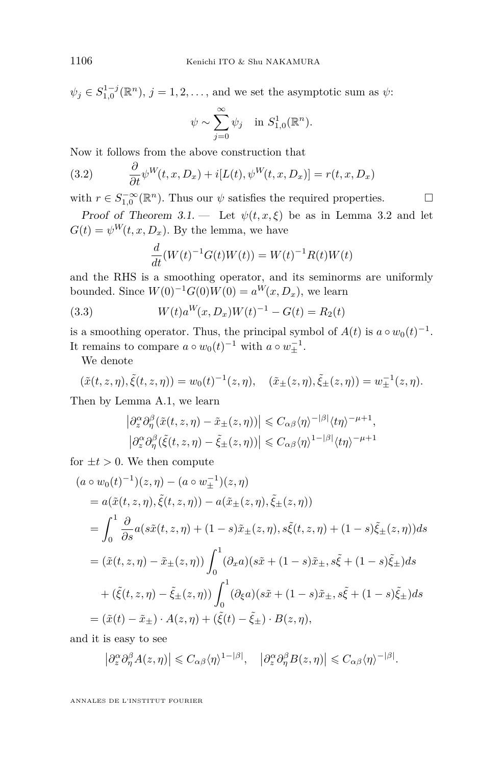<span id="page-16-0"></span> $\psi_j \in S_{1,0}^{1-j}(\mathbb{R}^n)$ ,  $j = 1,2,...$ , and we set the asymptotic sum as  $\psi$ :

$$
\psi \sim \sum_{j=0}^{\infty} \psi_j
$$
 in  $S_{1,0}^1(\mathbb{R}^n)$ .

Now it follows from the above construction that

(3.2) 
$$
\frac{\partial}{\partial t} \psi^W(t, x, D_x) + i[L(t), \psi^W(t, x, D_x)] = r(t, x, D_x)
$$

with  $r \in S^{-\infty}_{1,0}(\mathbb{R}^n)$ . Thus our  $\psi$  satisfies the required properties.  $\Box$ 

Proof of Theorem 3.1. — Let  $\psi(t, x, \xi)$  be as in Lemma [3.2](#page-15-0) and let  $G(t) = \psi^W(t, x, D_x)$ . By the lemma, we have

$$
\frac{d}{dt}(W(t)^{-1}G(t)W(t)) = W(t)^{-1}R(t)W(t)
$$

and the RHS is a smoothing operator, and its seminorms are uniformly bounded. Since  $W(0)^{-1}G(0)W(0) = a^W(x, D_x)$ , we learn

(3.3) 
$$
W(t)a^{W}(x, D_x)W(t)^{-1} - G(t) = R_2(t)
$$

is a smoothing operator. Thus, the principal symbol of  $A(t)$  is  $a \circ w_0(t)^{-1}$ . It remains to compare  $a \circ w_0(t)^{-1}$  with  $a \circ w_{\pm}^{-1}$ .

We denote

$$
(\tilde{x}(t,z,\eta),\tilde{\xi}(t,z,\eta))=w_0(t)^{-1}(z,\eta), \quad (\tilde{x}_{\pm}(z,\eta),\tilde{\xi}_{\pm}(z,\eta))=w_{\pm}^{-1}(z,\eta).
$$

Then by Lemma [A.1,](#page-24-0) we learn

$$
\left| \partial_z^{\alpha} \partial_{\eta}^{\beta} (\tilde{x}(t, z, \eta) - \tilde{x}_{\pm}(z, \eta)) \right| \leq C_{\alpha\beta} \langle \eta \rangle^{-|\beta|} \langle t\eta \rangle^{-\mu+1},
$$
  

$$
\left| \partial_z^{\alpha} \partial_{\eta}^{\beta} (\tilde{\xi}(t, z, \eta) - \tilde{\xi}_{\pm}(z, \eta)) \right| \leq C_{\alpha\beta} \langle \eta \rangle^{1-|\beta|} \langle t\eta \rangle^{-\mu+1}
$$

for  $\pm t > 0$ . We then compute

$$
(a \circ w_0(t)^{-1})(z, \eta) - (a \circ w_{\pm}^{-1})(z, \eta)
$$
  
\n
$$
= a(\tilde{x}(t, z, \eta), \tilde{\xi}(t, z, \eta)) - a(\tilde{x}_{\pm}(z, \eta), \tilde{\xi}_{\pm}(z, \eta))
$$
  
\n
$$
= \int_0^1 \frac{\partial}{\partial s} a(s\tilde{x}(t, z, \eta) + (1 - s)\tilde{x}_{\pm}(z, \eta), s\tilde{\xi}(t, z, \eta) + (1 - s)\tilde{\xi}_{\pm}(z, \eta))ds
$$
  
\n
$$
= (\tilde{x}(t, z, \eta) - \tilde{x}_{\pm}(z, \eta)) \int_0^1 (\partial_x a)(s\tilde{x} + (1 - s)\tilde{x}_{\pm}, s\tilde{\xi} + (1 - s)\tilde{\xi}_{\pm})ds
$$
  
\n
$$
+ (\tilde{\xi}(t, z, \eta) - \tilde{\xi}_{\pm}(z, \eta)) \int_0^1 (\partial_{\xi} a)(s\tilde{x} + (1 - s)\tilde{x}_{\pm}, s\tilde{\xi} + (1 - s)\tilde{\xi}_{\pm})ds
$$
  
\n
$$
= (\tilde{x}(t) - \tilde{x}_{\pm}) \cdot A(z, \eta) + (\tilde{\xi}(t) - \tilde{\xi}_{\pm}) \cdot B(z, \eta),
$$

and it is easy to see

$$
\left|\partial_z^{\alpha}\partial_{\eta}^{\beta}A(z,\eta)\right|\leqslant C_{\alpha\beta}\langle\eta\rangle^{1-|\beta|},\quad\left|\partial_z^{\alpha}\partial_{\eta}^{\beta}B(z,\eta)\right|\leqslant C_{\alpha\beta}\langle\eta\rangle^{-|\beta|}.
$$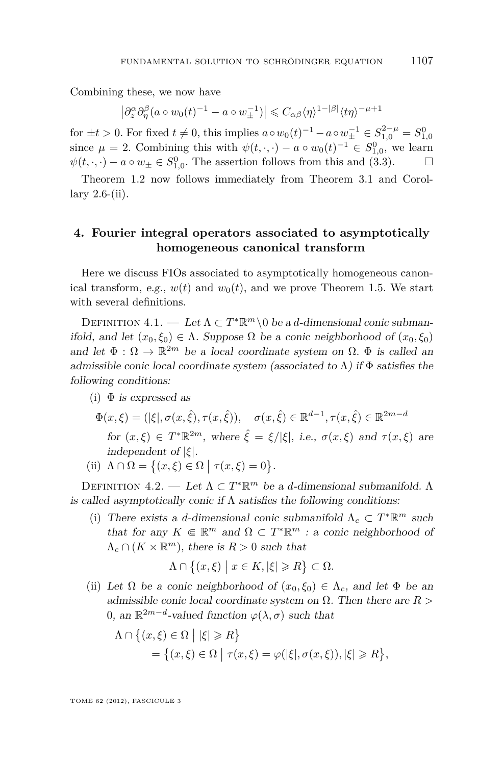<span id="page-17-0"></span>Combining these, we now have

$$
\left|\partial_z^{\alpha}\partial_{\eta}^{\beta}(a\circ w_0(t)^{-1}-a\circ w_{\pm}^{-1})\right|\leq C_{\alpha\beta}\langle\eta\rangle^{1-|\beta|}\langle t\eta\rangle^{-\mu+1}
$$

for  $\pm t > 0$ . For fixed  $t \neq 0$ , this implies  $a \circ w_0(t)^{-1} - a \circ w_{\pm}^{-1} \in S_{1,0}^{2-\mu} = S_{1,0}^0$ since  $\mu = 2$ . Combining this with  $\psi(t, \cdot, \cdot) - a \circ w_0(t)^{-1} \in S^0_{1,0}$ , we learn  $\psi(t, \cdot, \cdot) - a \circ w_{\pm} \in S_{1,0}^0$ . The assertion follows from this and [\(3.3\)](#page-16-0).  $\Box$ 

Theorem [1.2](#page-3-0) now follows immediately from Theorem [3.1](#page-14-0) and Corollary  $2.6-(ii)$  $2.6-(ii)$ .

#### **4. Fourier integral operators associated to asymptotically homogeneous canonical transform**

Here we discuss FIOs associated to asymptotically homogeneous canonical transform, e.g.,  $w(t)$  and  $w_0(t)$ , and we prove Theorem [1.5.](#page-4-0) We start with several definitions.

DEFINITION  $4.1.$  — Let  $\Lambda \subset T^* \mathbb{R}^m \setminus 0$  be a *d*-dimensional conic submanifold, and let  $(x_0, \xi_0) \in \Lambda$ . Suppose  $\Omega$  be a conic neighborhood of  $(x_0, \xi_0)$ and let  $\Phi : \Omega \to \mathbb{R}^{2m}$  be a local coordinate system on  $\Omega$ .  $\Phi$  is called an admissible conic local coordinate system (associated to  $\Lambda$ ) if  $\Phi$  satisfies the following conditions:

(i)  $\Phi$  is expressed as

$$
\Phi(x,\xi) = (|\xi|, \sigma(x,\hat{\xi}), \tau(x,\hat{\xi})), \quad \sigma(x,\hat{\xi}) \in \mathbb{R}^{d-1}, \tau(x,\hat{\xi}) \in \mathbb{R}^{2m-d}
$$

for  $(x,\xi) \in T^*\mathbb{R}^{2m}$ , where  $\hat{\xi} = \xi/|\xi|$ , i.e.,  $\sigma(x,\xi)$  and  $\tau(x,\xi)$  are independent of |*ξ*|.

(ii) 
$$
\Lambda \cap \Omega = \{(x,\xi) \in \Omega \mid \tau(x,\xi) = 0\}.
$$

DEFINITION  $4.2.$  — Let  $Λ ⊂ T^* \mathbb{R}^m$  be a *d*-dimensional submanifold. Λ is called asymptotically conic if  $\Lambda$  satisfies the following conditions:

(i) There exists a *d*-dimensional conic submanifold  $\Lambda_c \subset T^* \mathbb{R}^m$  such that for any  $K \in \mathbb{R}^m$  and  $\Omega \subset T^*\mathbb{R}^m$  : a conic neighborhood of  $\Lambda_c \cap (K \times \mathbb{R}^m)$ , there is  $R > 0$  such that

$$
\Lambda \cap \big\{(x,\xi) \mid x \in K, |\xi| \geqslant R\big\} \subset \Omega.
$$

(ii) Let  $\Omega$  be a conic neighborhood of  $(x_0, \xi_0) \in \Lambda_c$ , and let  $\Phi$  be an admissible conic local coordinate system on Ω. Then there are *R >* 0, an  $\mathbb{R}^{2m-d}$ -valued function  $\varphi(\lambda, \sigma)$  such that

$$
\Lambda \cap \{(x,\xi) \in \Omega \mid |\xi| \ge R\}
$$
  
=  $\{(x,\xi) \in \Omega \mid \tau(x,\xi) = \varphi(|\xi|, \sigma(x,\xi)), |\xi| \ge R\},\$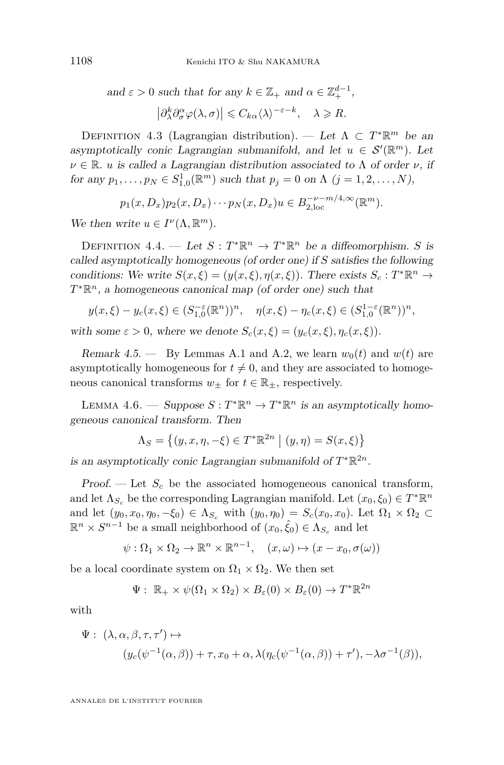<span id="page-18-0"></span>and 
$$
\varepsilon > 0
$$
 such that for any  $k \in \mathbb{Z}_+$  and  $\alpha \in \mathbb{Z}_+^{d-1}$ ,  

$$
\left| \partial_{\lambda}^k \partial_{\sigma}^{\alpha} \varphi(\lambda, \sigma) \right| \leq C_{k\alpha} \langle \lambda \rangle^{-\varepsilon - k}, \quad \lambda \geq R.
$$

DEFINITION 4.3 (Lagrangian distribution). — Let  $\Lambda \subset T^* \mathbb{R}^m$  be an asymptotically conic Lagrangian submanifold, and let  $u \in S'(\mathbb{R}^m)$ . Let  $\nu \in \mathbb{R}$ . *u* is called a Lagrangian distribution associated to  $\Lambda$  of order  $\nu$ , if for any  $p_1, ..., p_N \in S^1_{1,0}(\mathbb{R}^m)$  such that  $p_j = 0$  on  $\Lambda$   $(j = 1, 2, ..., N)$ ,

$$
p_1(x, D_x)p_2(x, D_x)\cdots p_N(x, D_x)u \in B_{2,loc}^{-\nu-m/4,\infty}(\mathbb{R}^m).
$$

We then write  $u \in I^{\nu}(\Lambda, \mathbb{R}^m)$ .

DEFINITION 4.4. — Let  $S: T^*\mathbb{R}^n \to T^*\mathbb{R}^n$  be a diffeomorphism. *S* is called asymptotically homogeneous (of order one) if *S* satisfies the following conditions: We write  $S(x,\xi) = (y(x,\xi), \eta(x,\xi))$ . There exists  $S_c : T^* \mathbb{R}^n \to$ *T*<sup>\*</sup>ℝ<sup>*n*</sup>, a homogeneous canonical map (of order one) such that

$$
y(x,\xi) - y_c(x,\xi) \in (S_{1,0}^{-\varepsilon}(\mathbb{R}^n))^n, \quad \eta(x,\xi) - \eta_c(x,\xi) \in (S_{1,0}^{1-\varepsilon}(\mathbb{R}^n))^n,
$$
  
with some  $\varepsilon > 0$ , where we denote  $S_c(x,\xi) = (y_c(x,\xi), \eta_c(x,\xi)).$ 

Remark 4.5. — By Lemmas [A.1](#page-24-0) and [A.2,](#page-26-0) we learn  $w_0(t)$  and  $w(t)$  are asymptotically homogeneous for  $t \neq 0$ , and they are associated to homogeneous canonical transforms  $w_{\pm}$  for  $t \in \mathbb{R}_{\pm}$ , respectively.

LEMMA 4.6. — Suppose  $S: T^*\mathbb{R}^n \to T^*\mathbb{R}^n$  is an asymptotically homogeneous canonical transform. Then

$$
\Lambda_S = \{(y, x, \eta, -\xi) \in T^* \mathbb{R}^{2n} \mid (y, \eta) = S(x, \xi)\}
$$

is an asymptotically conic Lagrangian submanifold of  $T^*\mathbb{R}^{2n}$ .

Proof. — Let *S<sup>c</sup>* be the associated homogeneous canonical transform, and let  $\Lambda_{S_c}$  be the corresponding Lagrangian manifold. Let  $(x_0, \xi_0) \in T^* \mathbb{R}^n$ and let  $(y_0, x_0, \eta_0, -\xi_0) \in \Lambda_{S_c}$  with  $(y_0, \eta_0) = S_c(x_0, x_0)$ . Let  $\Omega_1 \times \Omega_2 \subset$  $\mathbb{R}^n \times S^{n-1}$  be a small neighborhood of  $(x_0, \hat{\xi}_0) \in \Lambda_{S_c}$  and let

$$
\psi : \Omega_1 \times \Omega_2 \to \mathbb{R}^n \times \mathbb{R}^{n-1}, \quad (x, \omega) \mapsto (x - x_0, \sigma(\omega))
$$

be a local coordinate system on  $\Omega_1 \times \Omega_2$ . We then set

$$
\Psi: \ \mathbb{R}_+ \times \psi(\Omega_1 \times \Omega_2) \times B_{\varepsilon}(0) \times B_{\varepsilon}(0) \to T^* \mathbb{R}^{2n}
$$

with

$$
\Psi: (\lambda, \alpha, \beta, \tau, \tau') \mapsto
$$
  

$$
(y_c(\psi^{-1}(\alpha, \beta)) + \tau, x_0 + \alpha, \lambda(\eta_c(\psi^{-1}(\alpha, \beta)) + \tau'), -\lambda \sigma^{-1}(\beta)),
$$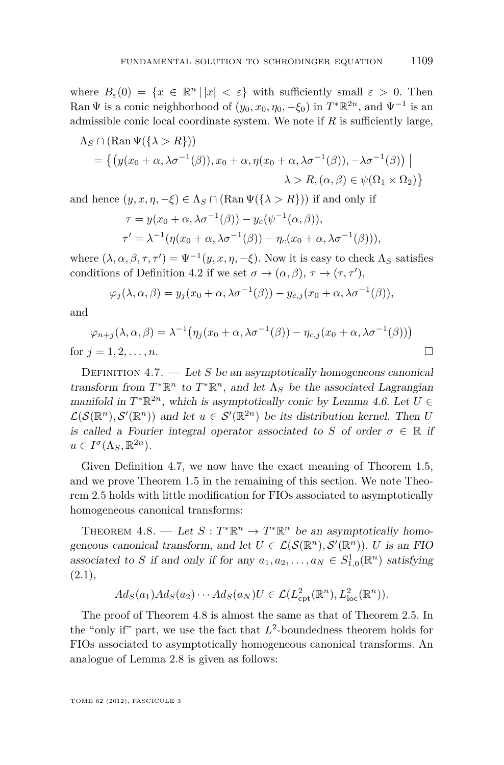<span id="page-19-0"></span>where  $B_{\varepsilon}(0) = \{x \in \mathbb{R}^n \mid |x| < \varepsilon\}$  with sufficiently small  $\varepsilon > 0$ . Then Ran  $\Psi$  is a conic neighborhood of  $(y_0, x_0, \eta_0, -\xi_0)$  in  $T^*\mathbb{R}^{2n}$ , and  $\Psi^{-1}$  is an admissible conic local coordinate system. We note if *R* is sufficiently large,

$$
\Lambda_S \cap (\text{Ran}\,\Psi(\{\lambda > R\}))
$$
\n
$$
= \left\{ \left( y(x_0 + \alpha, \lambda \sigma^{-1}(\beta)), x_0 + \alpha, \eta(x_0 + \alpha, \lambda \sigma^{-1}(\beta)), -\lambda \sigma^{-1}(\beta) \right) \mid \lambda > R, (\alpha, \beta) \in \psi(\Omega_1 \times \Omega_2) \right\}
$$

and hence  $(y, x, \eta, -\xi) \in \Lambda_S \cap (\text{Ran } \Psi(\{\lambda > R\}))$  if and only if

$$
\tau = y(x_0 + \alpha, \lambda \sigma^{-1}(\beta)) - y_c(\psi^{-1}(\alpha, \beta)),
$$
  

$$
\tau' = \lambda^{-1}(\eta(x_0 + \alpha, \lambda \sigma^{-1}(\beta)) - \eta_c(x_0 + \alpha, \lambda \sigma^{-1}(\beta))),
$$

where  $(\lambda, \alpha, \beta, \tau, \tau') = \Psi^{-1}(y, x, \eta, -\xi)$ . Now it is easy to check  $\Lambda_S$  satisfies conditions of Definition [4.2](#page-17-0) if we set  $\sigma \to (\alpha, \beta), \tau \to (\tau, \tau'),$ 

$$
\varphi_j(\lambda,\alpha,\beta)=y_j(x_0+\alpha,\lambda\sigma^{-1}(\beta))-y_{c,j}(x_0+\alpha,\lambda\sigma^{-1}(\beta)),
$$

and

$$
\varphi_{n+j}(\lambda,\alpha,\beta) = \lambda^{-1} \big( \eta_j(x_0 + \alpha, \lambda \sigma^{-1}(\beta)) - \eta_{c,j}(x_0 + \alpha, \lambda \sigma^{-1}(\beta)) \big)
$$
  
for  $j = 1, 2, ..., n$ .

DEFINITION  $4.7.$  — Let *S* be an asymptotically homogeneous canonical transform from  $T^*\mathbb{R}^n$  to  $T^*\mathbb{R}^n$ , and let  $\Lambda_S$  be the associated Lagrangian manifold in  $T^*\mathbb{R}^{2n}$ , which is asymptotically conic by Lemma [4.6.](#page-18-0) Let  $U \in$  $\mathcal{L}(\mathcal{S}(\mathbb{R}^n), \mathcal{S}'(\mathbb{R}^n))$  and let  $u \in \mathcal{S}'(\mathbb{R}^{2n})$  be its distribution kernel. Then *U* is called a Fourier integral operator associated to *S* of order  $\sigma \in \mathbb{R}$  if  $u \in I^{\sigma}(\Lambda_S, \mathbb{R}^{2n}).$ 

Given Definition 4.7, we now have the exact meaning of Theorem [1.5,](#page-4-0) and we prove Theorem [1.5](#page-4-0) in the remaining of this section. We note Theorem [2.5](#page-8-0) holds with little modification for FIOs associated to asymptotically homogeneous canonical transforms:

THEOREM 4.8. — Let  $S: T^*\mathbb{R}^n \to T^*\mathbb{R}^n$  be an asymptotically homogeneous canonical transform, and let  $U \in \mathcal{L}(\mathcal{S}(\mathbb{R}^n), \mathcal{S}'(\mathbb{R}^n))$ . *U* is an FIO associated to *S* if and only if for any  $a_1, a_2, \ldots, a_N \in S^1_{1,0}(\mathbb{R}^n)$  satisfying  $(2.1),$  $(2.1),$ 

$$
Ad_S(a_1)Ad_S(a_2)\cdots Ad_S(a_N)U \in \mathcal{L}(L^2_{\rm cpt}(\mathbb{R}^n), L^2_{\rm loc}(\mathbb{R}^n)).
$$

The proof of Theorem 4.8 is almost the same as that of Theorem [2.5.](#page-8-0) In the "only if" part, we use the fact that  $L^2$ -boundedness theorem holds for FIOs associated to asymptotically homogeneous canonical transforms. An analogue of Lemma [2.8](#page-10-0) is given as follows: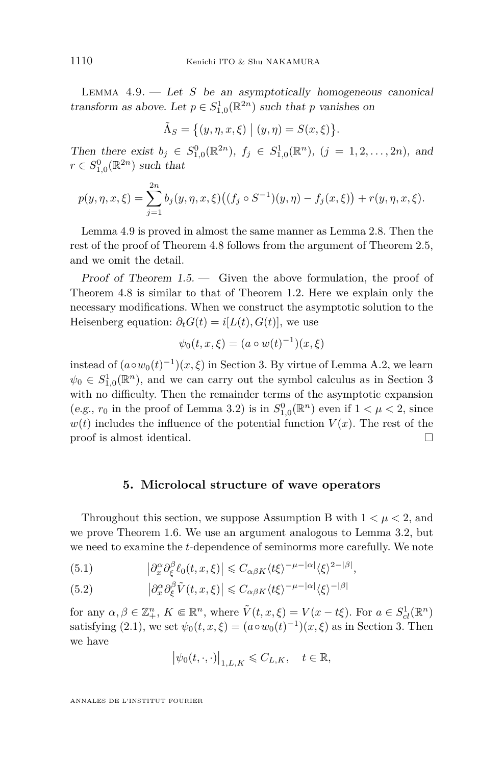<span id="page-20-0"></span>LEMMA  $4.9.$  — Let *S* be an asymptotically homogeneous canonical transform as above. Let  $p \in S^1_{1,0}(\mathbb{R}^{2n})$  such that *p* vanishes on

$$
\tilde{\Lambda}_S = \big\{ (y, \eta, x, \xi) \mid (y, \eta) = S(x, \xi) \big\}.
$$

Then there exist  $b_j \in S^0_{1,0}(\mathbb{R}^{2n})$ ,  $f_j \in S^1_{1,0}(\mathbb{R}^n)$ ,  $(j = 1, 2, ..., 2n)$ , and  $r \in S^0_{1,0}(\mathbb{R}^{2n})$  such that

$$
p(y, \eta, x, \xi) = \sum_{j=1}^{2n} b_j(y, \eta, x, \xi) ((f_j \circ S^{-1})(y, \eta) - f_j(x, \xi)) + r(y, \eta, x, \xi).
$$

Lemma 4.9 is proved in almost the same manner as Lemma [2.8.](#page-10-0) Then the rest of the proof of Theorem [4.8](#page-19-0) follows from the argument of Theorem [2.5,](#page-8-0) and we omit the detail.

Proof of Theorem [1.5.](#page-4-0) — Given the above formulation, the proof of Theorem [4.8](#page-19-0) is similar to that of Theorem [1.2.](#page-3-0) Here we explain only the necessary modifications. When we construct the asymptotic solution to the Heisenberg equation:  $\partial_t G(t) = i[L(t), G(t)]$ , we use

$$
\psi_0(t, x, \xi) = (a \circ w(t)^{-1})(x, \xi)
$$

instead of  $(a \circ w_0(t)^{-1})(x, \xi)$  in Section [3.](#page-13-0) By virtue of Lemma [A.2,](#page-26-0) we learn  $\psi_0 \in S^1_{1,0}(\mathbb{R}^n)$ , and we can carry out the symbol calculus as in Section [3](#page-13-0) with no difficulty. Then the remainder terms of the asymptotic expansion (e.g.,  $r_0$  in the proof of Lemma [3.2\)](#page-15-0) is in  $S_{1,0}^0(\mathbb{R}^n)$  even if  $1 < \mu < 2$ , since  $w(t)$  includes the influence of the potential function  $V(x)$ . The rest of the proof is almost identical.

#### **5. Microlocal structure of wave operators**

Throughout this section, we suppose Assumption [B](#page-4-0) with  $1 < \mu < 2$ , and we prove Theorem [1.6.](#page-5-0) We use an argument analogous to Lemma [3.2,](#page-15-0) but we need to examine the *t*-dependence of seminorms more carefully. We note

(5.1) 
$$
\left|\partial_x^{\alpha}\partial_{\xi}^{\beta}\ell_0(t,x,\xi)\right| \leq C_{\alpha\beta K}\langle t\xi\rangle^{-\mu-|\alpha|}\langle \xi\rangle^{2-|\beta|},
$$

(5.2) 
$$
\left|\partial_x^{\alpha}\partial_{\xi}^{\beta}\tilde{V}(t,x,\xi)\right| \leq C_{\alpha\beta K} \langle t\xi\rangle^{-\mu-|\alpha|} \langle \xi\rangle^{-|\beta|}
$$

for any  $\alpha, \beta \in \mathbb{Z}_+^n$ ,  $K \in \mathbb{R}^n$ , where  $\tilde{V}(t, x, \xi) = V(x - t\xi)$ . For  $a \in S^1_{cl}(\mathbb{R}^n)$ satisfying [\(2.1\)](#page-8-0), we set  $\psi_0(t, x, \xi) = (a \circ w_0(t)^{-1})(x, \xi)$  as in Section [3.](#page-13-0) Then we have

$$
\big|\psi_0(t,\cdot,\cdot)\big|_{1,L,K}\leqslant C_{L,K},\quad t\in\mathbb{R},
$$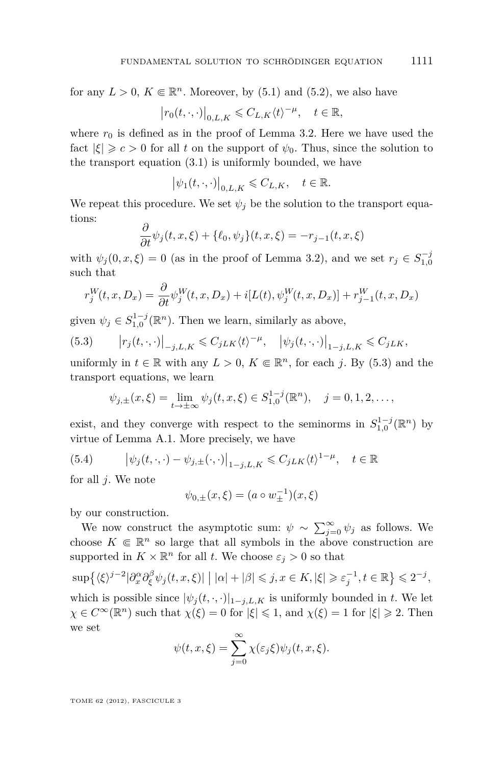<span id="page-21-0"></span>for any  $L > 0$ ,  $K \in \mathbb{R}^n$ . Moreover, by [\(5.1\)](#page-20-0) and [\(5.2\)](#page-20-0), we also have

$$
\left|r_0(t,\cdot,\cdot)\right|_{0,L,K}\leqslant C_{L,K}\langle t\rangle^{-\mu},\quad t\in\mathbb{R},
$$

where  $r_0$  is defined as in the proof of Lemma [3.2.](#page-15-0) Here we have used the fact  $|\xi| \geqslant c > 0$  for all *t* on the support of  $\psi_0$ . Thus, since the solution to the transport equation [\(3.1\)](#page-15-0) is uniformly bounded, we have

$$
\left|\psi_1(t,\cdot,\cdot)\right|_{0,L,K}\leqslant C_{L,K},\quad t\in\mathbb{R}.
$$

We repeat this procedure. We set  $\psi_j$  be the solution to the transport equations:

$$
\frac{\partial}{\partial t}\psi_j(t, x, \xi) + \{\ell_0, \psi_j\}(t, x, \xi) = -r_{j-1}(t, x, \xi)
$$

with  $\psi_j(0, x, \xi) = 0$  (as in the proof of Lemma 3.2), and we set  $r_j \in S_{1,0}^{-j}$ such that

$$
r_j^W(t, x, D_x) = \frac{\partial}{\partial t} \psi_j^W(t, x, D_x) + i[L(t), \psi_j^W(t, x, D_x)] + r_{j-1}^W(t, x, D_x)
$$

given  $\psi_j \in S_{1,0}^{1-j}(\mathbb{R}^n)$ . Then we learn, similarly as above,

(5.3) 
$$
\left|r_j(t,\cdot,\cdot)\right|_{-j,L,K} \leq C_{jLK}\langle t\rangle^{-\mu}, \quad \left|\psi_j(t,\cdot,\cdot)\right|_{1-j,L,K} \leq C_{jLK},
$$

uniformly in  $t \in \mathbb{R}$  with any  $L > 0$ ,  $K \in \mathbb{R}^n$ , for each *j*. By (5.3) and the transport equations, we learn

$$
\psi_{j,\pm}(x,\xi) = \lim_{t \to \pm \infty} \psi_j(t,x,\xi) \in S_{1,0}^{1-j}(\mathbb{R}^n), \quad j = 0, 1, 2, \dots,
$$

exist, and they converge with respect to the seminorms in  $S_{1,0}^{1-j}(\mathbb{R}^n)$  by virtue of Lemma [A.1.](#page-24-0) More precisely, we have

(5.4) 
$$
\left| \psi_j(t, \cdot, \cdot) - \psi_{j, \pm}(\cdot, \cdot) \right|_{1-j, L, K} \leq C_{jLK} \langle t \rangle^{1-\mu}, \quad t \in \mathbb{R}
$$

for all *j*. We note

$$
\psi_{0,\pm}(x,\xi) = (a \circ w_\pm^{-1})(x,\xi)
$$

by our construction.

We now construct the asymptotic sum:  $\psi \sim \sum_{j=0}^{\infty} \psi_j$  as follows. We choose  $K \in \mathbb{R}^n$  so large that all symbols in the above construction are supported in  $K \times \mathbb{R}^n$  for all *t*. We choose  $\varepsilon_j > 0$  so that

$$
\sup \{ \langle \xi \rangle^{j-2} | \partial_x^{\alpha} \partial_{\xi}^{\beta} \psi_j(t, x, \xi) | \mid |\alpha| + |\beta| \le j, x \in K, |\xi| \ge \varepsilon_j^{-1}, t \in \mathbb{R} \} \le 2^{-j},
$$
  
which is possible since  $|\psi_j(t, \cdot, \cdot)|_{1-j, L, K}$  is uniformly bounded in t. We let  
 $\chi \in C^{\infty}(\mathbb{R}^n)$  such that  $\chi(\xi) = 0$  for  $|\xi| \le 1$ , and  $\chi(\xi) = 1$  for  $|\xi| \ge 2$ . Then

$$
\psi(t, x, \xi) = \sum_{j=0}^{\infty} \chi(\varepsilon_j \xi) \psi_j(t, x, \xi).
$$

TOME 62 (2012), FASCICULE 3

we set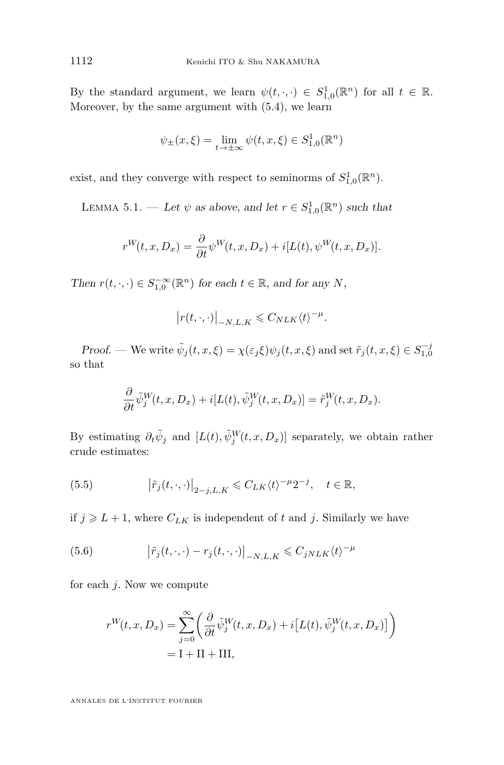<span id="page-22-0"></span>By the standard argument, we learn  $\psi(t, \cdot, \cdot) \in S^1_{1,0}(\mathbb{R}^n)$  for all  $t \in \mathbb{R}$ . Moreover, by the same argument with [\(5.4\)](#page-21-0), we learn

$$
\psi_{\pm}(x,\xi) = \lim_{t \to \pm \infty} \psi(t,x,\xi) \in S^1_{1,0}(\mathbb{R}^n)
$$

exist, and they converge with respect to seminorms of  $S_{1,0}^1(\mathbb{R}^n)$ .

LEMMA 5.1. — Let  $\psi$  as above, and let  $r \in S^1_{1,0}(\mathbb{R}^n)$  such that

$$
r^{W}(t, x, D_x) = \frac{\partial}{\partial t} \psi^{W}(t, x, D_x) + i[L(t), \psi^{W}(t, x, D_x)].
$$

Then  $r(t, \cdot, \cdot) \in S_{1,0}^{-\infty}(\mathbb{R}^n)$  for each  $t \in \mathbb{R}$ , and for any *N*,

$$
\left|r(t,\cdot,\cdot)\right|_{-N,L,K}\leqslant C_{N L K}\langle t\rangle^{-\mu}.
$$

Proof. — We write  $\tilde{\psi}_j(t, x, \xi) = \chi(\varepsilon_j \xi) \psi_j(t, x, \xi)$  and set  $\tilde{r}_j(t, x, \xi) \in S_{1,0}^{-j}$ so that

$$
\frac{\partial}{\partial t}\tilde{\psi}_j^W(t,x,D_x) + i[L(t),\tilde{\psi}_j^W(t,x,D_x)] = \tilde{r}_j^W(t,x,D_x).
$$

By estimating  $\partial_t \tilde{\psi}_j$  and  $[L(t), \tilde{\psi}_j^W(t, x, D_x)]$  separately, we obtain rather crude estimates:

(5.5) 
$$
\left|\tilde{r}_j(t,\cdot,\cdot)\right|_{2-j,L,K} \leqslant C_{LK}\langle t\rangle^{-\mu}2^{-j}, \quad t \in \mathbb{R},
$$

if  $j \ge L+1$ , where  $C_{LK}$  is independent of t and j. Similarly we have

(5.6) 
$$
\left|\tilde{r}_j(t,\cdot,\cdot)-r_j(t,\cdot,\cdot)\right|_{-N,L,K} \leq C_{jNLK}\langle t\rangle^{-\mu}
$$

for each *j*. Now we compute

$$
r^{W}(t, x, D_x) = \sum_{j=0}^{\infty} \left( \frac{\partial}{\partial t} \tilde{\psi}_j^{W}(t, x, D_x) + i \left[ L(t), \tilde{\psi}_j^{W}(t, x, D_x) \right] \right)
$$
  
= I + II + III,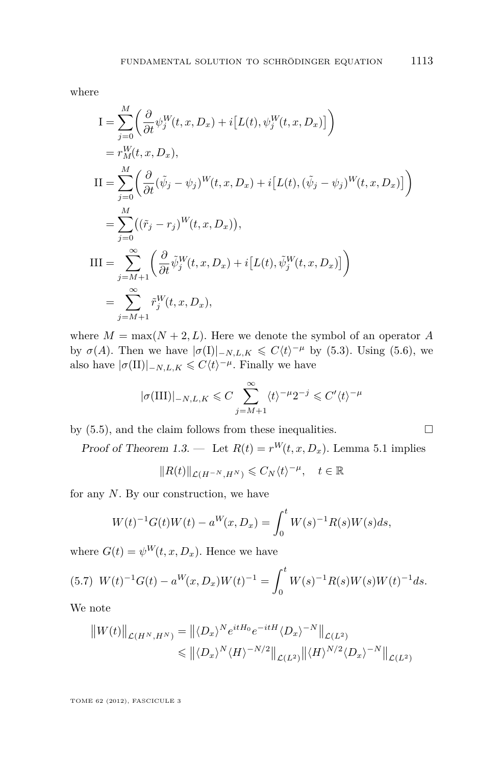<span id="page-23-0"></span>where

$$
I = \sum_{j=0}^{M} \left( \frac{\partial}{\partial t} \psi_j^W(t, x, D_x) + i[L(t), \psi_j^W(t, x, D_x)] \right)
$$
  
\n
$$
= r_M^W(t, x, D_x),
$$
  
\n
$$
II = \sum_{j=0}^{M} \left( \frac{\partial}{\partial t} (\tilde{\psi}_j - \psi_j)^W(t, x, D_x) + i[L(t), (\tilde{\psi}_j - \psi_j)^W(t, x, D_x)] \right)
$$
  
\n
$$
= \sum_{j=0}^{M} ((\tilde{r}_j - r_j)^W(t, x, D_x)),
$$
  
\n
$$
III = \sum_{j=M+1}^{\infty} \left( \frac{\partial}{\partial t} \tilde{\psi}_j^W(t, x, D_x) + i[L(t), \tilde{\psi}_j^W(t, x, D_x)] \right)
$$
  
\n
$$
= \sum_{j=M+1}^{\infty} \tilde{r}_j^W(t, x, D_x),
$$

where  $M = \max(N + 2, L)$ . Here we denote the symbol of an operator A by  $\sigma(A)$ . Then we have  $|\sigma(I)|_{-N,L,K} \leq C \langle t \rangle^{-\mu}$  by [\(5.3\)](#page-21-0). Using [\(5.6\)](#page-22-0), we also have  $|\sigma(\text{II})|_{-N,L,K} \leq C \langle t \rangle^{-\mu}$ . Finally we have

$$
|\sigma(\text{III})|_{-N,L,K} \leq C \sum_{j=M+1}^{\infty} \langle t \rangle^{-\mu} 2^{-j} \leq C' \langle t \rangle^{-\mu}
$$

by  $(5.5)$ , and the claim follows from these inequalities.

Proof of Theorem 1.3. — Let  $R(t) = r^W(t, x, D_x)$ . Lemma [5.1](#page-22-0) implies

$$
||R(t)||_{\mathcal{L}(H^{-N},H^N)} \leqslant C_N \langle t \rangle^{-\mu}, \quad t \in \mathbb{R}
$$

for any *N*. By our construction, we have

$$
W(t)^{-1}G(t)W(t) - a^{W}(x, D_x) = \int_0^t W(s)^{-1}R(s)W(s)ds,
$$

where  $G(t) = \psi^W(t, x, D_x)$ . Hence we have

$$
(5.7) \ W(t)^{-1}G(t) - a^W(x, D_x)W(t)^{-1} = \int_0^t W(s)^{-1}R(s)W(s)W(t)^{-1}ds.
$$

We note

$$
||W(t)||_{\mathcal{L}(H^N, H^N)} = ||\langle D_x \rangle^N e^{itH_0} e^{-itH} \langle D_x \rangle^{-N} ||_{\mathcal{L}(L^2)}
$$
  

$$
\leq ||\langle D_x \rangle^N \langle H \rangle^{-N/2} ||_{\mathcal{L}(L^2)} ||\langle H \rangle^{N/2} \langle D_x \rangle^{-N} ||_{\mathcal{L}(L^2)}
$$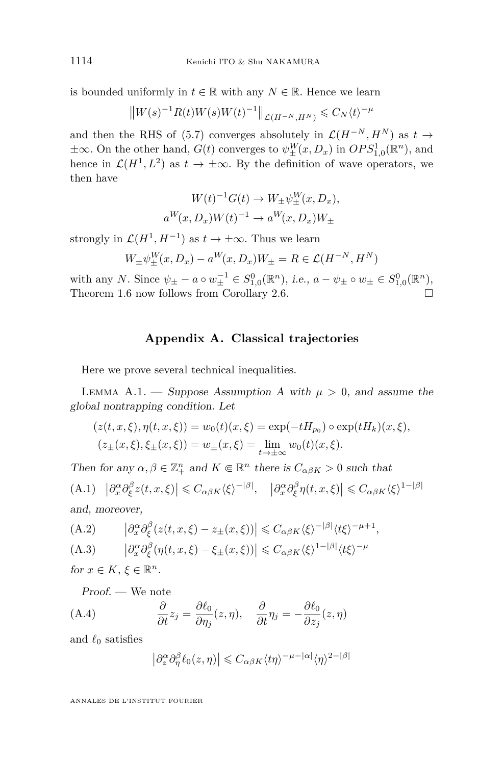<span id="page-24-0"></span>is bounded uniformly in  $t \in \mathbb{R}$  with any  $N \in \mathbb{R}$ . Hence we learn

$$
||W(s)^{-1}R(t)W(s)W(t)^{-1}||_{\mathcal{L}(H^{-N},H^{N})} \leq C_{N} \langle t \rangle^{-\mu}
$$

and then the RHS of [\(5.7\)](#page-23-0) converges absolutely in  $\mathcal{L}(H^{-N}, H^N)$  as  $t \to$  $\pm \infty$ . On the other hand,  $G(t)$  converges to  $\psi_{\pm}^W(x, D_x)$  in  $OPS_{1,0}^1(\mathbb{R}^n)$ , and hence in  $\mathcal{L}(H^1, L^2)$  as  $t \to \pm \infty$ . By the definition of wave operators, we then have

$$
W(t)^{-1}G(t) \to W_{\pm}\psi_{\pm}^{W}(x, D_{x}),
$$
  

$$
a^{W}(x, D_{x})W(t)^{-1} \to a^{W}(x, D_{x})W_{\pm}
$$

strongly in  $\mathcal{L}(H^1, H^{-1})$  as  $t \to \pm \infty$ . Thus we learn

$$
W_{\pm} \psi_{\pm}^{W}(x, D_x) - a^{W}(x, D_x)W_{\pm} = R \in \mathcal{L}(H^{-N}, H^{N})
$$

with any *N*. Since  $\psi_{\pm} - a \circ w_{\pm}^{-1} \in S_{1,0}^{0}(\mathbb{R}^{n}),$  *i.e.*,  $a - \psi_{\pm} \circ w_{\pm} \in S_{1,0}^{0}(\mathbb{R}^{n}),$ Theorem [1.6](#page-5-0) now follows from Corollary [2.6.](#page-8-0)

#### **Appendix A. Classical trajectories**

Here we prove several technical inequalities.

LEMMA A.1. — Suppose Assumption A with  $\mu > 0$ , and assume the global nontrapping condition. Let

$$
(z(t, x, \xi), \eta(t, x, \xi)) = w_0(t)(x, \xi) = \exp(-tH_{p_0}) \circ \exp(tH_k)(x, \xi),
$$
  

$$
(z_{\pm}(x, \xi), \xi_{\pm}(x, \xi)) = w_{\pm}(x, \xi) = \lim_{t \to \pm \infty} w_0(t)(x, \xi).
$$

Then for any  $\alpha, \beta \in \mathbb{Z}_{+}^{n}$  and  $K \in \mathbb{R}^{n}$  there is  $C_{\alpha\beta K} > 0$  such that (A.1)  $|\partial_x^{\alpha} \partial_{\xi}^{\beta} z(t, x, \xi)| \leq C_{\alpha\beta K} \langle \xi \rangle^{-|\beta|}, \quad |\partial_x^{\alpha} \partial_{\xi}^{\beta} \eta(t, x, \xi)| \leq C_{\alpha\beta K} \langle \xi \rangle^{1-|\beta|}$ and, moreover,

(A.2) 
$$
\left|\partial_x^{\alpha}\partial_{\xi}^{\beta}(z(t,x,\xi)-z_{\pm}(x,\xi))\right|\leq C_{\alpha\beta K}\langle\xi\rangle^{-|\beta|}\langle t\xi\rangle^{-\mu+1},
$$

(A.3) 
$$
\left|\partial_x^{\alpha}\partial_{\xi}^{\beta}(\eta(t,x,\xi)-\xi_{\pm}(x,\xi))\right| \leq C_{\alpha\beta K}\langle\xi\rangle^{1-|\beta|}\langle t\xi\rangle^{-\mu}
$$

for  $x \in K$ ,  $\xi \in \mathbb{R}^n$ .

Proof. — We note

(A.4) 
$$
\frac{\partial}{\partial t} z_j = \frac{\partial \ell_0}{\partial \eta_j} (z, \eta), \quad \frac{\partial}{\partial t} \eta_j = -\frac{\partial \ell_0}{\partial z_j} (z, \eta)
$$

and  $\ell_0$  satisfies

$$
\left|\partial_z^{\alpha}\partial_{\eta}^{\beta}\ell_0(z,\eta)\right| \leqslant C_{\alpha\beta K} \langle t\eta\rangle^{-\mu-|\alpha|} \langle \eta\rangle^{2-|\beta|}
$$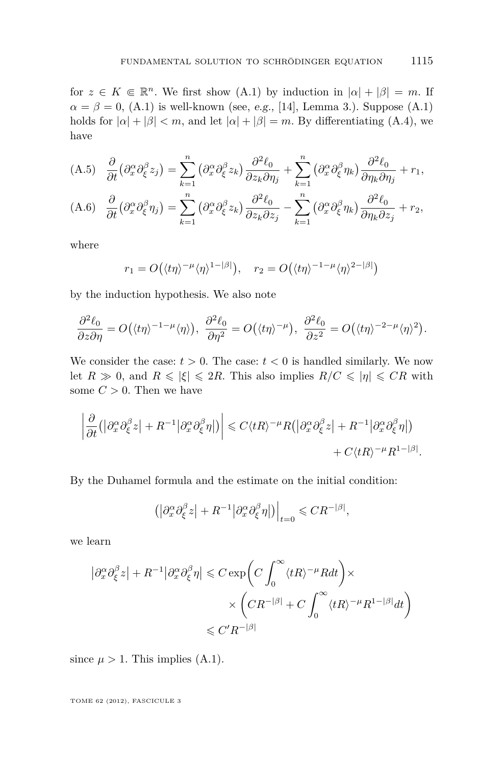<span id="page-25-0"></span>for  $z \in K \in \mathbb{R}^n$ . We first show [\(A.1\)](#page-24-0) by induction in  $|\alpha| + |\beta| = m$ . If  $\alpha = \beta = 0$ , [\(A.1\)](#page-24-0) is well-known (see, e.g., [\[14\]](#page-31-0), Lemma 3.). Suppose (A.1) holds for  $| \alpha | + | \beta | < m$ , and let  $| \alpha | + | \beta | = m$ . By differentiating [\(A.4\)](#page-24-0), we have

(A.5) 
$$
\frac{\partial}{\partial t} (\partial_x^{\alpha} \partial_{\xi}^{\beta} z_j) = \sum_{k=1}^n (\partial_x^{\alpha} \partial_{\xi}^{\beta} z_k) \frac{\partial^2 \ell_0}{\partial z_k \partial \eta_j} + \sum_{k=1}^n (\partial_x^{\alpha} \partial_{\xi}^{\beta} \eta_k) \frac{\partial^2 \ell_0}{\partial \eta_k \partial \eta_j} + r_1,
$$
  
(A.6) 
$$
\frac{\partial}{\partial t} (\partial_x^{\alpha} \partial_{\xi}^{\beta} \eta_j) = \sum_{k=1}^n (\partial_x^{\alpha} \partial_{\xi}^{\beta} z_k) \frac{\partial^2 \ell_0}{\partial z_k \partial z_j} - \sum_{k=1}^n (\partial_x^{\alpha} \partial_{\xi}^{\beta} \eta_k) \frac{\partial^2 \ell_0}{\partial \eta_k \partial z_j} + r_2,
$$

where

$$
r_1 = O\big(\langle t\eta \rangle^{-\mu} \langle \eta \rangle^{1-|\beta|}\big), \quad r_2 = O\big(\langle t\eta \rangle^{-1-\mu} \langle \eta \rangle^{2-|\beta|}\big)
$$

by the induction hypothesis. We also note

$$
\frac{\partial^2 \ell_0}{\partial z \partial \eta} = O(\langle t\eta \rangle^{-1-\mu} \langle \eta \rangle), \frac{\partial^2 \ell_0}{\partial \eta^2} = O(\langle t\eta \rangle^{-\mu}), \frac{\partial^2 \ell_0}{\partial z^2} = O(\langle t\eta \rangle^{-2-\mu} \langle \eta \rangle^2).
$$

We consider the case:  $t > 0$ . The case:  $t < 0$  is handled similarly. We now let  $R \gg 0$ , and  $R \leq |\xi| \leq 2R$ . This also implies  $R/C \leq |\eta| \leq CR$  with some  $C > 0$ . Then we have

$$
\left| \frac{\partial}{\partial t} \left( \left| \partial_x^{\alpha} \partial_{\xi}^{\beta} z \right| + R^{-1} \left| \partial_x^{\alpha} \partial_{\xi}^{\beta} \eta \right| \right) \right| \leqslant C \langle tR \rangle^{-\mu} R \left( \left| \partial_x^{\alpha} \partial_{\xi}^{\beta} z \right| + R^{-1} \left| \partial_x^{\alpha} \partial_{\xi}^{\beta} \eta \right| \right) + C \langle tR \rangle^{-\mu} R^{1 - |\beta|}.
$$

By the Duhamel formula and the estimate on the initial condition:

$$
\left( \left| \partial_x^{\alpha} \partial_{\xi}^{\beta} z \right| + R^{-1} \left| \partial_x^{\alpha} \partial_{\xi}^{\beta} \eta \right| \right) \Big|_{t=0} \leqslant CR^{-|\beta|},
$$

we learn

$$
\begin{aligned} \left|\partial_x^{\alpha}\partial_{\xi}^{\beta}z\right|+R^{-1}\big|\partial_x^{\alpha}\partial_{\xi}^{\beta}\eta\big|\leqslant C\exp\biggl(C\int_{0}^{\infty}\langle tR\rangle^{-\mu}Rdt\biggr)\times\\ &\times\biggl(CR^{-|\beta|}+C\int_{0}^{\infty}\langle tR\rangle^{-\mu}R^{1-|\beta|}dt\biggr)\\ \leqslant C'R^{-|\beta|} \end{aligned}
$$

since  $\mu > 1$ . This implies [\(A.1\)](#page-24-0).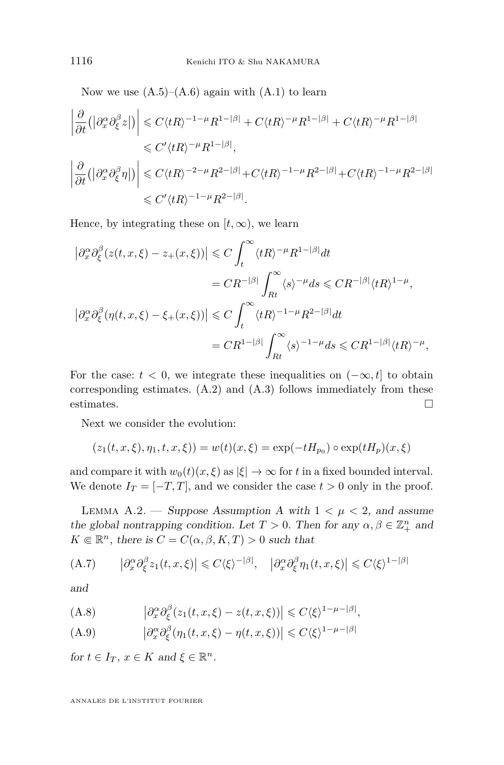<span id="page-26-0"></span>Now we use  $(A.5)$ – $(A.6)$  again with  $(A.1)$  to learn

$$
\left| \frac{\partial}{\partial t} \left( |\partial_x^{\alpha} \partial_{\xi}^{\beta} z| \right) \right| \leq C \langle tR \rangle^{-1-\mu} R^{1-|\beta|} + C \langle tR \rangle^{-\mu} R^{1-|\beta|} + C \langle tR \rangle^{-\mu} R^{1-|\beta|}
$$
  
\n
$$
\leq C' \langle tR \rangle^{-\mu} R^{1-|\beta|},
$$
  
\n
$$
\left| \frac{\partial}{\partial t} \left( |\partial_x^{\alpha} \partial_{\xi}^{\beta} \eta| \right) \right| \leq C \langle tR \rangle^{-2-\mu} R^{2-|\beta|} + C \langle tR \rangle^{-1-\mu} R^{2-|\beta|} + C \langle tR \rangle^{-1-\mu} R^{2-|\beta|}
$$
  
\n
$$
\leq C' \langle tR \rangle^{-1-\mu} R^{2-|\beta|}.
$$

Hence, by integrating these on  $[t, \infty)$ , we learn

$$
\begin{split} \left|\partial_{x}^{\alpha}\partial_{\xi}^{\beta}(z(t,x,\xi)-z_{+}(x,\xi))\right| &\leqslant C\int_{t}^{\infty}\langle tR\rangle^{-\mu}R^{1-|\beta|}dt\\ &=CR^{-|\beta|}\int_{Rt}^{\infty}\langle s\rangle^{-\mu}ds\leqslant CR^{-|\beta|}\langle tR\rangle^{1-\mu},\\ \left|\partial_{x}^{\alpha}\partial_{\xi}^{\beta}(\eta(t,x,\xi)-\xi_{+}(x,\xi))\right| &\leqslant C\int_{t}^{\infty}\langle tR\rangle^{-1-\mu}R^{2-|\beta|}dt\\ &=CR^{1-|\beta|}\int_{Rt}^{\infty}\langle s\rangle^{-1-\mu}ds\leqslant CR^{1-|\beta|}\langle tR\rangle^{-\mu}, \end{split}
$$

For the case:  $t < 0$ , we integrate these inequalities on  $(-\infty, t]$  to obtain corresponding estimates. [\(A.2\)](#page-24-0) and [\(A.3\)](#page-24-0) follows immediately from these estimates.  $\Box$ 

Next we consider the evolution:

$$
(z_1(t, x, \xi), \eta_1, t, x, \xi)) = w(t)(x, \xi) = \exp(-tH_{p_0}) \circ \exp(tH_p)(x, \xi)
$$

and compare it with  $w_0(t)(x,\xi)$  as  $|\xi| \to \infty$  for *t* in a fixed bounded interval. We denote  $I_T = [-T, T]$ , and we consider the case  $t > 0$  only in the proof.

LEMM[A](#page-2-0) A.2. — Suppose Assumption A with  $1 < \mu < 2$ , and assume the global nontrapping condition. Let  $T > 0$ . Then for any  $\alpha, \beta \in \mathbb{Z}_{+}^{n}$  and  $K \in \mathbb{R}^n$ , there is  $C = C(\alpha, \beta, K, T) > 0$  such that

(A.7) 
$$
\left|\partial_x^{\alpha}\partial_{\xi}^{\beta}z_1(t,x,\xi)\right| \leqslant C\langle\xi\rangle^{-|\beta|}, \quad \left|\partial_x^{\alpha}\partial_{\xi}^{\beta}\eta_1(t,x,\xi)\right| \leqslant C\langle\xi\rangle^{1-|\beta|}
$$

and

(A.8) 
$$
\left|\partial_x^{\alpha}\partial_{\xi}^{\beta}(z_1(t,x,\xi)-z(t,x,\xi))\right|\leqslant C\langle\xi\rangle^{1-\mu-|\beta|},
$$

(A.9) 
$$
\left|\partial_x^{\alpha}\partial_{\xi}^{\beta}(\eta_1(t,x,\xi)-\eta(t,x,\xi))\right| \leq C\langle\xi\rangle^{1-\mu-|\beta|}
$$

for  $t \in I_T$ ,  $x \in K$  and  $\xi \in \mathbb{R}^n$ .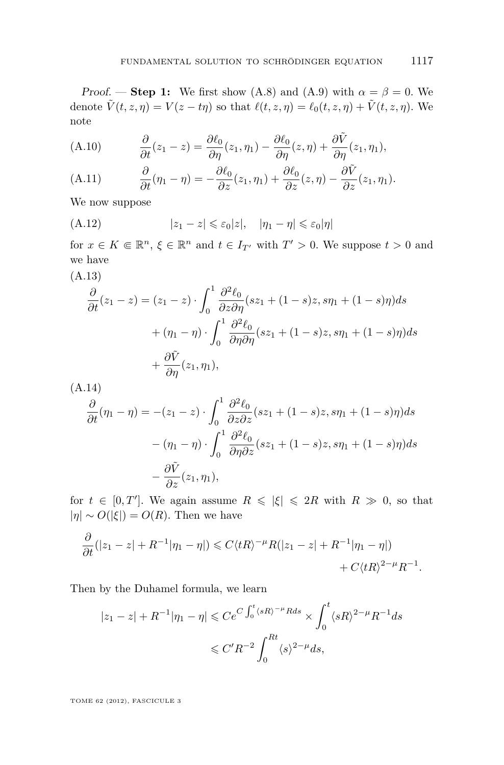<span id="page-27-0"></span>Proof. — **Step 1:** We first show [\(A.8\)](#page-26-0) and [\(A.9\)](#page-26-0) with  $\alpha = \beta = 0$ . We denote  $\tilde{V}(t, z, \eta) = V(z - t\eta)$  so that  $\ell(t, z, \eta) = \ell_0(t, z, \eta) + \tilde{V}(t, z, \eta)$ . We note

(A.10) 
$$
\frac{\partial}{\partial t}(z_1 - z) = \frac{\partial \ell_0}{\partial \eta}(z_1, \eta_1) - \frac{\partial \ell_0}{\partial \eta}(z, \eta) + \frac{\partial \tilde{V}}{\partial \eta}(z_1, \eta_1),
$$

(A.11) 
$$
\frac{\partial}{\partial t}(\eta_1 - \eta) = -\frac{\partial \ell_0}{\partial z}(z_1, \eta_1) + \frac{\partial \ell_0}{\partial z}(z, \eta) - \frac{\partial \tilde{V}}{\partial z}(z_1, \eta_1).
$$

We now suppose

$$
(A.12) \t\t |z_1 - z| \leq \varepsilon_0 |z|, \t |\eta_1 - \eta| \leq \varepsilon_0 |\eta|
$$

for  $x \in K \in \mathbb{R}^n$ ,  $\xi \in \mathbb{R}^n$  and  $t \in I_{T'}$  with  $T' > 0$ . We suppose  $t > 0$  and we have

(A.13)

$$
\frac{\partial}{\partial t}(z_1 - z) = (z_1 - z) \cdot \int_0^1 \frac{\partial^2 \ell_0}{\partial z \partial \eta}(sz_1 + (1 - s)z, s\eta_1 + (1 - s)\eta)ds \n+ (\eta_1 - \eta) \cdot \int_0^1 \frac{\partial^2 \ell_0}{\partial \eta \partial \eta}(sz_1 + (1 - s)z, s\eta_1 + (1 - s)\eta)ds \n+ \frac{\partial \tilde{V}}{\partial \eta}(z_1, \eta_1),
$$

(A.14)

$$
\frac{\partial}{\partial t}(\eta_1 - \eta) = -(z_1 - z) \cdot \int_0^1 \frac{\partial^2 \ell_0}{\partial z \partial z} (sz_1 + (1 - s)z, s\eta_1 + (1 - s)\eta) ds \n- (\eta_1 - \eta) \cdot \int_0^1 \frac{\partial^2 \ell_0}{\partial \eta \partial z} (sz_1 + (1 - s)z, s\eta_1 + (1 - s)\eta) ds \n- \frac{\partial \tilde{V}}{\partial z} (z_1, \eta_1),
$$

for  $t \in [0, T']$ . We again assume  $R \leq |\xi| \leq 2R$  with  $R \gg 0$ , so that  $|\eta| \sim O(|\xi|) = O(R)$ . Then we have

$$
\frac{\partial}{\partial t}(|z_1 - z| + R^{-1}|\eta_1 - \eta|) \leq C \langle tR \rangle^{-\mu} R(|z_1 - z| + R^{-1}|\eta_1 - \eta|) + C \langle tR \rangle^{2-\mu} R^{-1}.
$$

Then by the Duhamel formula, we learn

$$
|z_1 - z| + R^{-1} |\eta_1 - \eta| \leq C e^{C \int_0^t \langle sR \rangle^{-\mu} R ds} \times \int_0^t \langle sR \rangle^{2-\mu} R^{-1} ds
$$
  

$$
\leq C' R^{-2} \int_0^{Rt} \langle s \rangle^{2-\mu} ds,
$$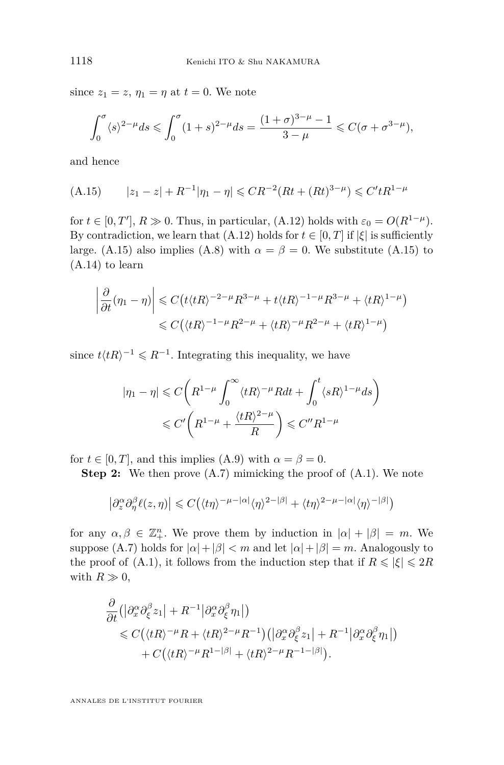since  $z_1 = z$ ,  $\eta_1 = \eta$  at  $t = 0$ . We note

$$
\int_0^{\sigma} \langle s \rangle^{2-\mu} ds \leq \int_0^{\sigma} (1+s)^{2-\mu} ds = \frac{(1+\sigma)^{3-\mu}-1}{3-\mu} \leq C(\sigma + \sigma^{3-\mu}),
$$

and hence

$$
(A.15) \qquad |z_1 - z| + R^{-1} |\eta_1 - \eta| \leq C R^{-2} (Rt + (Rt)^{3-\mu}) \leq C' t R^{1-\mu}
$$

for  $t \in [0, T'], R \gg 0$ . Thus, in particular, [\(A.12\)](#page-27-0) holds with  $\varepsilon_0 = O(R^{1-\mu})$ . By contradiction, we learn that  $(A.12)$  holds for  $t \in [0, T]$  if  $|\xi|$  is sufficiently large. (A.15) also implies [\(A.8\)](#page-26-0) with  $\alpha = \beta = 0$ . We substitute (A.15) to [\(A.14\)](#page-27-0) to learn

$$
\left|\frac{\partial}{\partial t}(\eta_1 - \eta)\right| \leq C\left(t\langle tR\rangle^{-2-\mu}R^{3-\mu} + t\langle tR\rangle^{-1-\mu}R^{3-\mu} + \langle tR\rangle^{1-\mu}\right)
$$
  

$$
\leq C\left(\langle tR\rangle^{-1-\mu}R^{2-\mu} + \langle tR\rangle^{-\mu}R^{2-\mu} + \langle tR\rangle^{1-\mu}\right)
$$

since  $t \langle tR \rangle^{-1} \leqslant R^{-1}$ . Integrating this inequality, we have

$$
|\eta_1 - \eta| \leq C \bigg( R^{1-\mu} \int_0^\infty \langle tR \rangle^{-\mu} R dt + \int_0^t \langle sR \rangle^{1-\mu} ds \bigg) \leq C' \bigg( R^{1-\mu} + \frac{\langle tR \rangle^{2-\mu}}{R} \bigg) \leq C'' R^{1-\mu}
$$

for  $t \in [0, T]$ , and this implies [\(A.9\)](#page-26-0) with  $\alpha = \beta = 0$ .

**Step 2:** We then prove  $(A.7)$  mimicking the proof of  $(A.1)$ . We note

$$
\left|\partial_z^{\alpha}\partial_{\eta}^{\beta}\ell(z,\eta)\right|\leqslant C\big(\langle t\eta\rangle^{-\mu-|\alpha|}\langle \eta\rangle^{2-|\beta|}+\langle t\eta\rangle^{2-\mu-|\alpha|}\langle \eta\rangle^{-|\beta|}\big)
$$

for any  $\alpha, \beta \in \mathbb{Z}_{+}^{n}$ . We prove them by induction in  $|\alpha| + |\beta| = m$ . We suppose [\(A.7\)](#page-26-0) holds for  $|α| + |β| < m$  and let  $|α| + |β| = m$ . Analogously to the proof of [\(A.1\)](#page-24-0), it follows from the induction step that if  $R \leq |\xi| \leq 2R$ with  $R \gg 0$ ,

$$
\frac{\partial}{\partial t} \left( \left| \partial_x^{\alpha} \partial_{\xi}^{\beta} z_1 \right| + R^{-1} \left| \partial_x^{\alpha} \partial_{\xi}^{\beta} \eta_1 \right| \right) \n\leq C \left( \langle tR \rangle^{-\mu} R + \langle tR \rangle^{2-\mu} R^{-1} \right) \left( \left| \partial_x^{\alpha} \partial_{\xi}^{\beta} z_1 \right| + R^{-1} \left| \partial_x^{\alpha} \partial_{\xi}^{\beta} \eta_1 \right| \right) \n+ C \left( \langle tR \rangle^{-\mu} R^{1-|\beta|} + \langle tR \rangle^{2-\mu} R^{-1-|\beta|} \right).
$$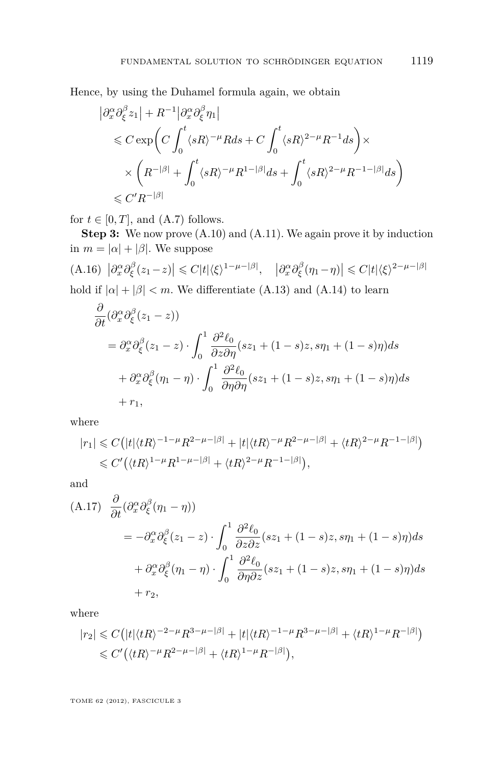<span id="page-29-0"></span>Hence, by using the Duhamel formula again, we obtain

$$
\begin{split} \left| \partial_x^{\alpha} \partial_{\xi}^{\beta} z_1 \right| &+ R^{-1} \left| \partial_x^{\alpha} \partial_{\xi}^{\beta} \eta_1 \right| \\ & \leqslant C \exp\biggl( C \int_0^t \langle sR \rangle^{-\mu} R ds + C \int_0^t \langle sR \rangle^{2-\mu} R^{-1} ds \biggr) \times \\ & \times \left( R^{-|\beta|} + \int_0^t \langle sR \rangle^{-\mu} R^{1-|\beta|} ds + \int_0^t \langle sR \rangle^{2-\mu} R^{-1-|\beta|} ds \right) \\ & \leqslant C' R^{-|\beta|} \end{split}
$$

for  $t \in [0, T]$ , and  $(A.7)$  follows.

**Step 3:** We now prove  $(A.10)$  and  $(A.11)$ . We again prove it by induction in  $m = |\alpha| + |\beta|$ . We suppose

(A.16) 
$$
|\partial_x^{\alpha}\partial_{\xi}^{\beta}(z_1-z)| \leq C|t|\langle \xi \rangle^{1-\mu-|\beta|}
$$
,  $|\partial_x^{\alpha}\partial_{\xi}^{\beta}(\eta_1-\eta)| \leq C|t|\langle \xi \rangle^{2-\mu-|\beta|}$  hold if  $|\alpha| + |\beta| < m$ . We differentiate (A.13) and (A.14) to learn

$$
\frac{\partial}{\partial t} (\partial_x^{\alpha} \partial_{\xi}^{\beta} (z_1 - z))
$$
\n
$$
= \partial_x^{\alpha} \partial_{\xi}^{\beta} (z_1 - z) \cdot \int_0^1 \frac{\partial^2 \ell_0}{\partial z \partial \eta} (sz_1 + (1 - s)z, s\eta_1 + (1 - s)\eta) ds
$$
\n
$$
+ \partial_x^{\alpha} \partial_{\xi}^{\beta} (\eta_1 - \eta) \cdot \int_0^1 \frac{\partial^2 \ell_0}{\partial \eta \partial \eta} (sz_1 + (1 - s)z, s\eta_1 + (1 - s)\eta) ds
$$
\n
$$
+ r_1,
$$

where

$$
|r_1| \leq C \left( |t| \langle tR \rangle^{-1-\mu} R^{2-\mu-|\beta|} + |t| \langle tR \rangle^{-\mu} R^{2-\mu-|\beta|} + \langle tR \rangle^{2-\mu} R^{-1-|\beta|} \right) \leq C' \left( \langle tR \rangle^{1-\mu} R^{1-\mu-|\beta|} + \langle tR \rangle^{2-\mu} R^{-1-|\beta|} \right),
$$

and

(A.17) 
$$
\frac{\partial}{\partial t} (\partial_x^{\alpha} \partial_{\xi}^{\beta} (\eta_1 - \eta))
$$
  
\n
$$
= -\partial_x^{\alpha} \partial_{\xi}^{\beta} (z_1 - z) \cdot \int_0^1 \frac{\partial^2 \ell_0}{\partial z \partial z} (sz_1 + (1 - s)z, s\eta_1 + (1 - s)\eta) ds
$$
  
\n
$$
+ \partial_x^{\alpha} \partial_{\xi}^{\beta} (\eta_1 - \eta) \cdot \int_0^1 \frac{\partial^2 \ell_0}{\partial \eta \partial z} (sz_1 + (1 - s)z, s\eta_1 + (1 - s)\eta) ds
$$
  
\n
$$
+ r_2,
$$

where

$$
\begin{aligned} |r_2|&\leqslant C\big(|t|\langle tR\rangle^{-2-\mu}R^{3-\mu-|\beta|}+|t|\langle tR\rangle^{-1-\mu}R^{3-\mu-|\beta|}+\langle tR\rangle^{1-\mu}R^{-|\beta|}\big)\\ &\leqslant C'\big(\langle tR\rangle^{-\mu}R^{2-\mu-|\beta|}+\langle tR\rangle^{1-\mu}R^{-|\beta|}\big), \end{aligned}
$$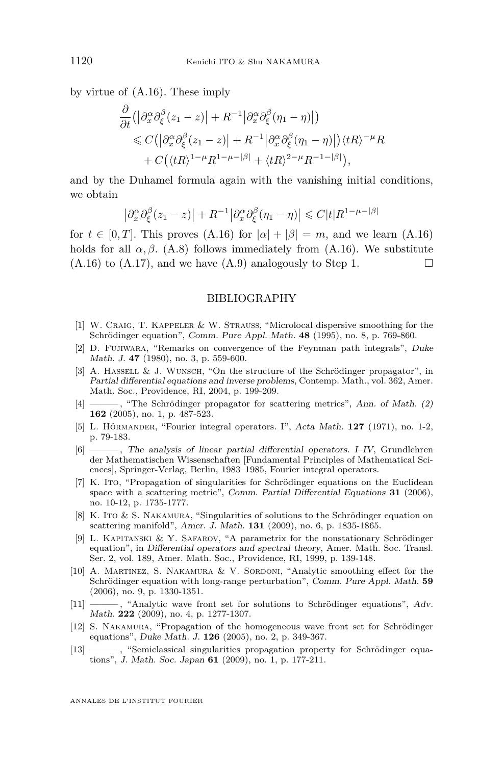<span id="page-30-0"></span>by virtue of [\(A.16\)](#page-29-0). These imply

$$
\frac{\partial}{\partial t} \left( \left| \partial_x^{\alpha} \partial_{\xi}^{\beta} (z_1 - z) \right| + R^{-1} \left| \partial_x^{\alpha} \partial_{\xi}^{\beta} (\eta_1 - \eta) \right| \right) \n\leq C \left( \left| \partial_x^{\alpha} \partial_{\xi}^{\beta} (z_1 - z) \right| + R^{-1} \left| \partial_x^{\alpha} \partial_{\xi}^{\beta} (\eta_1 - \eta) \right| \right) \langle tR \rangle^{-\mu} R \n+ C \left( \langle tR \rangle^{1-\mu} R^{1-\mu-\beta} \right| + \langle tR \rangle^{2-\mu} R^{-1-\beta} \Big),
$$

and by the Duhamel formula again with the vanishing initial conditions, we obtain

$$
\left|\partial_x^{\alpha}\partial_{\xi}^{\beta}(z_1-z)\right| + R^{-1}\left|\partial_x^{\alpha}\partial_{\xi}^{\beta}(\eta_1-\eta)\right| \leq C|t|R^{1-\mu-|\beta|}
$$

for  $t \in [0, T]$ . This proves  $(A.16)$  for  $|\alpha| + |\beta| = m$ , and we learn  $(A.16)$ holds for all  $\alpha$ ,  $\beta$ . [\(A.8\)](#page-26-0) follows immediately from [\(A.16\)](#page-29-0). We substitute  $(A.16)$  to  $(A.17)$ , and we have  $(A.9)$  analogously to Step 1.

#### BIBLIOGRAPHY

- [1] W. Craig, T. Kappeler & W. Strauss, "Microlocal dispersive smoothing for the Schrödinger equation", Comm. Pure Appl. Math. **48** (1995), no. 8, p. 769-860.
- [2] D. Fujiwara, "Remarks on convergence of the Feynman path integrals", Duke Math. J. **47** (1980), no. 3, p. 559-600.
- [3] A. Hassell & J. Wunsch, "On the structure of the Schrödinger propagator", in Partial differential equations and inverse problems, Contemp. Math., vol. 362, Amer. Math. Soc., Providence, RI, 2004, p. 199-209.
- [4] ——— , "The Schrödinger propagator for scattering metrics", Ann. of Math. (2) **162** (2005), no. 1, p. 487-523.
- [5] L. Hörmander, "Fourier integral operators. I", Acta Math. **127** (1971), no. 1-2, p. 79-183.
- [6] ——— , The analysis of linear partial differential operators. I–IV, Grundlehren der Mathematischen Wissenschaften [Fundamental Principles of Mathematical Sciences], Springer-Verlag, Berlin, 1983–1985, Fourier integral operators.
- [7] K. Ito, "Propagation of singularities for Schrödinger equations on the Euclidean space with a scattering metric", Comm. Partial Differential Equations **31** (2006), no. 10-12, p. 1735-1777.
- [8] K. Ito & S. NAKAMURA, "Singularities of solutions to the Schrödinger equation on scattering manifold", Amer. J. Math. **131** (2009), no. 6, p. 1835-1865.
- [9] L. KAPITANSKI & Y. SAFAROV, "A parametrix for the nonstationary Schrödinger equation", in Differential operators and spectral theory, Amer. Math. Soc. Transl. Ser. 2, vol. 189, Amer. Math. Soc., Providence, RI, 1999, p. 139-148.
- [10] A. Martinez, S. Nakamura & V. Sordoni, "Analytic smoothing effect for the Schrödinger equation with long-range perturbation", Comm. Pure Appl. Math. **59** (2006), no. 9, p. 1330-1351.
- [11] ——— , "Analytic wave front set for solutions to Schrödinger equations", Adv. Math. **222** (2009), no. 4, p. 1277-1307.
- [12] S. NAKAMURA, "Propagation of the homogeneous wave front set for Schrödinger equations", Duke Math. J. **126** (2005), no. 2, p. 349-367.
- [13] ——— , "Semiclassical singularities propagation property for Schrödinger equations", J. Math. Soc. Japan **61** (2009), no. 1, p. 177-211.